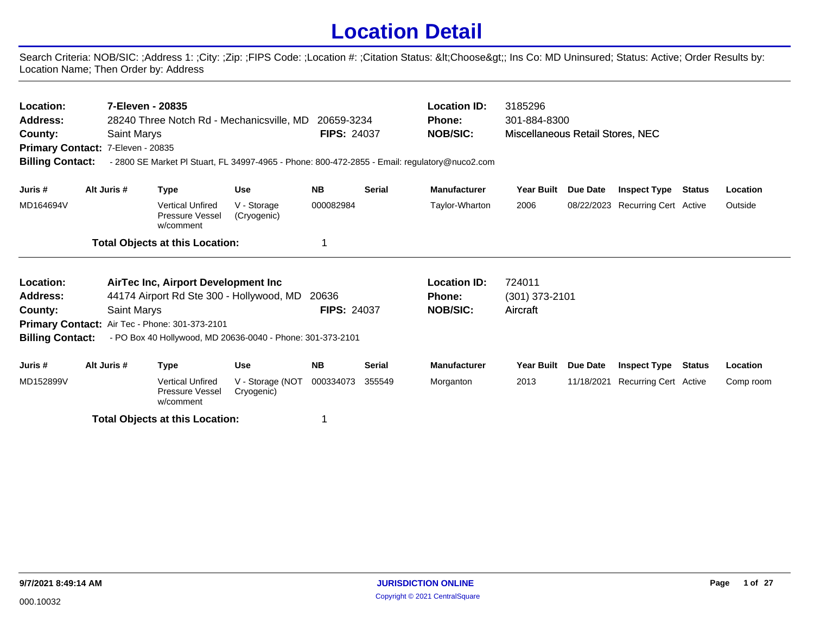## **Location Detail**

Search Criteria: NOB/SIC: ;Address 1: ;City: ;Zip: ;FIPS Code: ;Location #: ;Citation Status: <Choose&gt;; Ins Co: MD Uninsured; Status: Active; Order Results by: Location Name; Then Order by: Address

| Location:<br><b>Address:</b><br>County:<br>Primary Contact: 7-Eleven - 20835<br><b>Billing Contact:</b> |                                                                                                                 | 7-Eleven - 20835<br><b>Saint Marys</b> | 28240 Three Notch Rd - Mechanicsville, MD                      |                            | 20659-3234<br><b>FIPS: 24037</b> |               | <b>Location ID:</b><br><b>Phone:</b><br><b>NOB/SIC:</b><br>- 2800 SE Market PI Stuart, FL 34997-4965 - Phone: 800-472-2855 - Email: regulatory@nuco2.com | 3185296<br>301-884-8300<br>Miscellaneous Retail Stores, NEC |                       |                                  |               |          |
|---------------------------------------------------------------------------------------------------------|-----------------------------------------------------------------------------------------------------------------|----------------------------------------|----------------------------------------------------------------|----------------------------|----------------------------------|---------------|----------------------------------------------------------------------------------------------------------------------------------------------------------|-------------------------------------------------------------|-----------------------|----------------------------------|---------------|----------|
| Juris #                                                                                                 | Alt Juris #                                                                                                     |                                        | <b>Type</b>                                                    | <b>Use</b>                 | <b>NB</b>                        | <b>Serial</b> | <b>Manufacturer</b>                                                                                                                                      | <b>Year Built</b>                                           | Due Date              | <b>Inspect Type</b>              | <b>Status</b> | Location |
| MD164694V                                                                                               |                                                                                                                 |                                        | <b>Vertical Unfired</b><br><b>Pressure Vessel</b><br>w/comment | V - Storage<br>(Cryogenic) | 000082984                        |               | Taylor-Wharton                                                                                                                                           | 2006                                                        |                       | 08/22/2023 Recurring Cert Active |               | Outside  |
|                                                                                                         |                                                                                                                 |                                        | <b>Total Objects at this Location:</b>                         |                            | 1                                |               |                                                                                                                                                          |                                                             |                       |                                  |               |          |
| Location:                                                                                               |                                                                                                                 |                                        | AirTec Inc, Airport Development Inc                            |                            |                                  |               | <b>Location ID:</b>                                                                                                                                      | 724011                                                      |                       |                                  |               |          |
| <b>Address:</b>                                                                                         |                                                                                                                 |                                        | 44174 Airport Rd Ste 300 - Hollywood, MD                       |                            | 20636                            |               | <b>Phone:</b>                                                                                                                                            | $(301)$ 373-2101                                            |                       |                                  |               |          |
| County:                                                                                                 |                                                                                                                 | <b>Saint Marys</b>                     | Primary Contact: Air Tec - Phone: 301-373-2101                 |                            | <b>FIPS: 24037</b>               |               | <b>NOB/SIC:</b>                                                                                                                                          | Aircraft                                                    |                       |                                  |               |          |
| <b>Billing Contact:</b>                                                                                 |                                                                                                                 |                                        | - PO Box 40 Hollywood, MD 20636-0040 - Phone: 301-373-2101     |                            |                                  |               |                                                                                                                                                          |                                                             |                       |                                  |               |          |
| Juris #                                                                                                 |                                                                                                                 |                                        | <b>Type</b>                                                    | <b>Use</b>                 | <b>NB</b>                        | <b>Serial</b> | <b>Manufacturer</b>                                                                                                                                      | <b>Year Built</b>                                           | Due Date              | <b>Inspect Type</b>              | Status        | Location |
| MD152899V                                                                                               | Alt Juris #<br><b>Vertical Unfired</b><br>V - Storage (NOT<br><b>Pressure Vessel</b><br>Cryogenic)<br>w/comment |                                        |                                                                | 000334073                  | 355549                           | Morganton     | 2013                                                                                                                                                     | 11/18/2021                                                  | Recurring Cert Active |                                  | Comp room     |          |

**Total Objects at this Location:** 1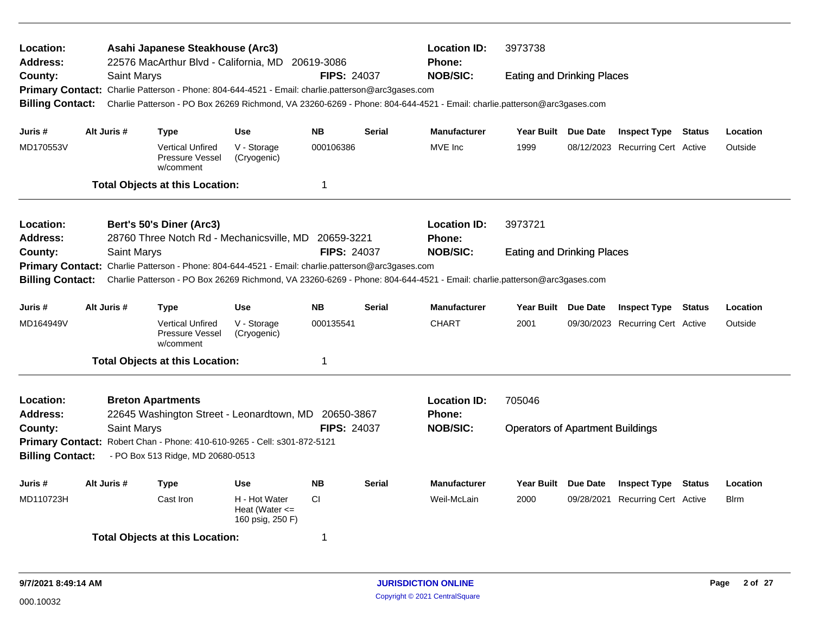| Location:<br><b>Address:</b><br>County:<br><b>Primary Contact:</b><br><b>Billing Contact:</b> | Saint Marys                                                                 | Asahi Japanese Steakhouse (Arc3)<br>22576 MacArthur Blvd - California, MD 20619-3086<br>Charlie Patterson - Phone: 804-644-4521 - Email: charlie.patterson@arc3gases.com<br>Charlie Patterson - PO Box 26269 Richmond, VA 23260-6269 - Phone: 804-644-4521 - Email: charlie.patterson@arc3gases.com |                            | <b>FIPS: 24037</b> |               | <b>Location ID:</b><br><b>Phone:</b><br><b>NOB/SIC:</b> | 3973738<br><b>Eating and Drinking Places</b> |                 |                                  |               |              |
|-----------------------------------------------------------------------------------------------|-----------------------------------------------------------------------------|-----------------------------------------------------------------------------------------------------------------------------------------------------------------------------------------------------------------------------------------------------------------------------------------------------|----------------------------|--------------------|---------------|---------------------------------------------------------|----------------------------------------------|-----------------|----------------------------------|---------------|--------------|
| Juris #                                                                                       | Alt Juris #                                                                 | <b>Type</b>                                                                                                                                                                                                                                                                                         | <b>Use</b>                 | <b>NB</b>          | <b>Serial</b> | <b>Manufacturer</b>                                     | <b>Year Built</b>                            | <b>Due Date</b> | <b>Inspect Type</b>              | <b>Status</b> | Location     |
| MD170553V                                                                                     |                                                                             | <b>Vertical Unfired</b><br>Pressure Vessel<br>w/comment                                                                                                                                                                                                                                             | V - Storage<br>(Cryogenic) | 000106386          |               | MVE Inc                                                 | 1999                                         |                 | 08/12/2023 Recurring Cert Active |               | Outside      |
|                                                                                               |                                                                             | <b>Total Objects at this Location:</b>                                                                                                                                                                                                                                                              |                            | $\mathbf 1$        |               |                                                         |                                              |                 |                                  |               |              |
| Location:<br><b>Address:</b>                                                                  |                                                                             | Bert's 50's Diner (Arc3)<br>28760 Three Notch Rd - Mechanicsville, MD                                                                                                                                                                                                                               |                            | 20659-3221         |               | <b>Location ID:</b><br>Phone:                           | 3973721                                      |                 |                                  |               |              |
| County:<br><b>Billing Contact:</b>                                                            | Saint Marys                                                                 | Primary Contact: Charlie Patterson - Phone: 804-644-4521 - Email: charlie.patterson@arc3gases.com<br>Charlie Patterson - PO Box 26269 Richmond, VA 23260-6269 - Phone: 804-644-4521 - Email: charlie.patterson@arc3gases.com                                                                        |                            | <b>FIPS: 24037</b> |               | <b>NOB/SIC:</b>                                         | <b>Eating and Drinking Places</b>            |                 |                                  |               |              |
| Juris #                                                                                       | Alt Juris #                                                                 | <b>Type</b>                                                                                                                                                                                                                                                                                         | <b>Use</b>                 | <b>NB</b>          | <b>Serial</b> | <b>Manufacturer</b>                                     | Year Built Due Date                          |                 | <b>Inspect Type</b>              | Status        | Location     |
| MD164949V                                                                                     |                                                                             | <b>Vertical Unfired</b><br>Pressure Vessel<br>w/comment                                                                                                                                                                                                                                             | V - Storage<br>(Cryogenic) | 000135541          |               | <b>CHART</b>                                            | 2001                                         |                 | 09/30/2023 Recurring Cert Active |               | Outside      |
|                                                                                               |                                                                             | <b>Total Objects at this Location:</b>                                                                                                                                                                                                                                                              |                            | $\mathbf 1$        |               |                                                         |                                              |                 |                                  |               |              |
| <b>Location:</b><br><b>Address:</b>                                                           |                                                                             | <b>Breton Apartments</b><br>22645 Washington Street - Leonardtown, MD 20650-3867                                                                                                                                                                                                                    |                            |                    |               | <b>Location ID:</b><br>Phone:                           | 705046                                       |                 |                                  |               |              |
| County:<br><b>Primary Contact:</b><br><b>Billing Contact:</b>                                 | Saint Marys                                                                 | Robert Chan - Phone: 410-610-9265 - Cell: s301-872-5121<br>- PO Box 513 Ridge, MD 20680-0513                                                                                                                                                                                                        |                            | <b>FIPS: 24037</b> |               | <b>NOB/SIC:</b>                                         | <b>Operators of Apartment Buildings</b>      |                 |                                  |               |              |
| Juris #                                                                                       | Alt Juris #                                                                 | <b>Type</b>                                                                                                                                                                                                                                                                                         | Use                        | <b>NB</b>          | <b>Serial</b> | <b>Manufacturer</b>                                     | Year Built Due Date                          |                 | <b>Inspect Type Status</b>       |               | Location     |
| MD110723H                                                                                     | Cast Iron<br>H - Hot Water<br>CI.<br>Heat (Water $\leq$<br>160 psig, 250 F) |                                                                                                                                                                                                                                                                                                     |                            |                    |               |                                                         | 2000                                         |                 | 09/28/2021 Recurring Cert Active |               | <b>B</b> lrm |
|                                                                                               |                                                                             | <b>Total Objects at this Location:</b>                                                                                                                                                                                                                                                              |                            | -1                 |               |                                                         |                                              |                 |                                  |               |              |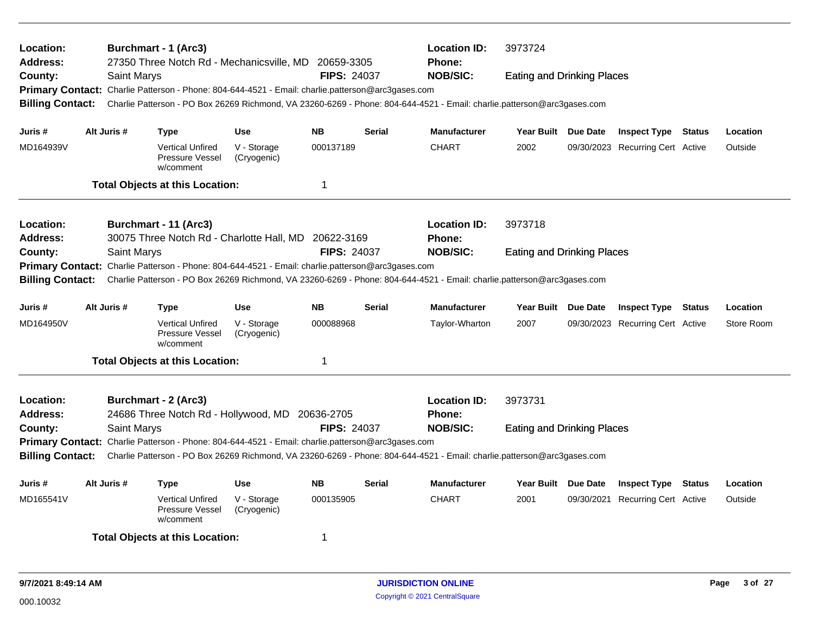| Location:<br><b>Address:</b><br>County:<br><b>Billing Contact:</b>                                              | Saint Marys        | <b>Burchmart - 1 (Arc3)</b><br>27350 Three Notch Rd - Mechanicsville, MD 20659-3305<br>Primary Contact: Charlie Patterson - Phone: 804-644-4521 - Email: charlie.patterson@arc3gases.com<br>Charlie Patterson - PO Box 26269 Richmond, VA 23260-6269 - Phone: 804-644-4521 - Email: charlie.patterson@arc3gases.com |                            | <b>FIPS: 24037</b> |               | <b>Location ID:</b><br><b>Phone:</b><br><b>NOB/SIC:</b> | 3973724<br><b>Eating and Drinking Places</b> |                                  |        |            |
|-----------------------------------------------------------------------------------------------------------------|--------------------|---------------------------------------------------------------------------------------------------------------------------------------------------------------------------------------------------------------------------------------------------------------------------------------------------------------------|----------------------------|--------------------|---------------|---------------------------------------------------------|----------------------------------------------|----------------------------------|--------|------------|
| Juris #                                                                                                         | Alt Juris #        | <b>Type</b>                                                                                                                                                                                                                                                                                                         | <b>Use</b>                 | <b>NB</b>          | <b>Serial</b> | <b>Manufacturer</b>                                     | Year Built Due Date                          | <b>Inspect Type Status</b>       |        | Location   |
| MD164939V                                                                                                       |                    | <b>Vertical Unfired</b><br>Pressure Vessel<br>w/comment                                                                                                                                                                                                                                                             | V - Storage<br>(Cryogenic) | 000137189          |               | <b>CHART</b>                                            | 2002                                         | 09/30/2023 Recurring Cert Active |        | Outside    |
|                                                                                                                 |                    | <b>Total Objects at this Location:</b>                                                                                                                                                                                                                                                                              |                            | $\mathbf 1$        |               |                                                         |                                              |                                  |        |            |
| <b>Location:</b><br><b>Address:</b>                                                                             |                    | Burchmart - 11 (Arc3)<br>30075 Three Notch Rd - Charlotte Hall, MD 20622-3169                                                                                                                                                                                                                                       |                            |                    |               | <b>Location ID:</b><br><b>Phone:</b>                    | 3973718                                      |                                  |        |            |
| County:<br><b>Billing Contact:</b>                                                                              | <b>Saint Marys</b> | Primary Contact: Charlie Patterson - Phone: 804-644-4521 - Email: charlie.patterson@arc3gases.com<br>Charlie Patterson - PO Box 26269 Richmond, VA 23260-6269 - Phone: 804-644-4521 - Email: charlie.patterson@arc3gases.com                                                                                        |                            | <b>FIPS: 24037</b> |               | <b>NOB/SIC:</b>                                         | <b>Eating and Drinking Places</b>            |                                  |        |            |
| Juris #                                                                                                         | Alt Juris #        | <b>Type</b>                                                                                                                                                                                                                                                                                                         | <b>Use</b>                 | <b>NB</b>          | <b>Serial</b> | <b>Manufacturer</b>                                     | Year Built Due Date                          | <b>Inspect Type Status</b>       |        | Location   |
| MD164950V                                                                                                       |                    | <b>Vertical Unfired</b><br>Pressure Vessel<br>w/comment                                                                                                                                                                                                                                                             | V - Storage<br>(Cryogenic) | 000088968          |               | Taylor-Wharton                                          | 2007                                         | 09/30/2023 Recurring Cert Active |        | Store Room |
|                                                                                                                 |                    | <b>Total Objects at this Location:</b>                                                                                                                                                                                                                                                                              |                            | -1                 |               |                                                         |                                              |                                  |        |            |
| <b>Location:</b><br><b>Address:</b>                                                                             |                    | <b>Burchmart - 2 (Arc3)</b><br>24686 Three Notch Rd - Hollywood, MD 20636-2705                                                                                                                                                                                                                                      |                            |                    |               | <b>Location ID:</b><br>Phone:                           | 3973731                                      |                                  |        |            |
| County:                                                                                                         | Saint Marys        | Primary Contact: Charlie Patterson - Phone: 804-644-4521 - Email: charlie.patterson@arc3gases.com                                                                                                                                                                                                                   |                            | <b>FIPS: 24037</b> |               | <b>NOB/SIC:</b>                                         | <b>Eating and Drinking Places</b>            |                                  |        |            |
| <b>Billing Contact:</b>                                                                                         |                    | Charlie Patterson - PO Box 26269 Richmond, VA 23260-6269 - Phone: 804-644-4521 - Email: charlie.patterson@arc3gases.com                                                                                                                                                                                             |                            |                    |               |                                                         |                                              |                                  |        |            |
| Juris #                                                                                                         | Alt Juris #        | <b>Type</b>                                                                                                                                                                                                                                                                                                         | <b>Use</b>                 | <b>NB</b>          | <b>Serial</b> | <b>Manufacturer</b>                                     | Year Built Due Date                          | <b>Inspect Type</b>              | Status | Location   |
| MD165541V<br><b>Vertical Unfired</b><br>V - Storage<br>000135905<br>Pressure Vessel<br>(Cryogenic)<br>w/comment |                    |                                                                                                                                                                                                                                                                                                                     |                            |                    |               | <b>CHART</b>                                            | 2001                                         | 09/30/2021 Recurring Cert Active |        | Outside    |
|                                                                                                                 |                    | <b>Total Objects at this Location:</b>                                                                                                                                                                                                                                                                              |                            | -1                 |               |                                                         |                                              |                                  |        |            |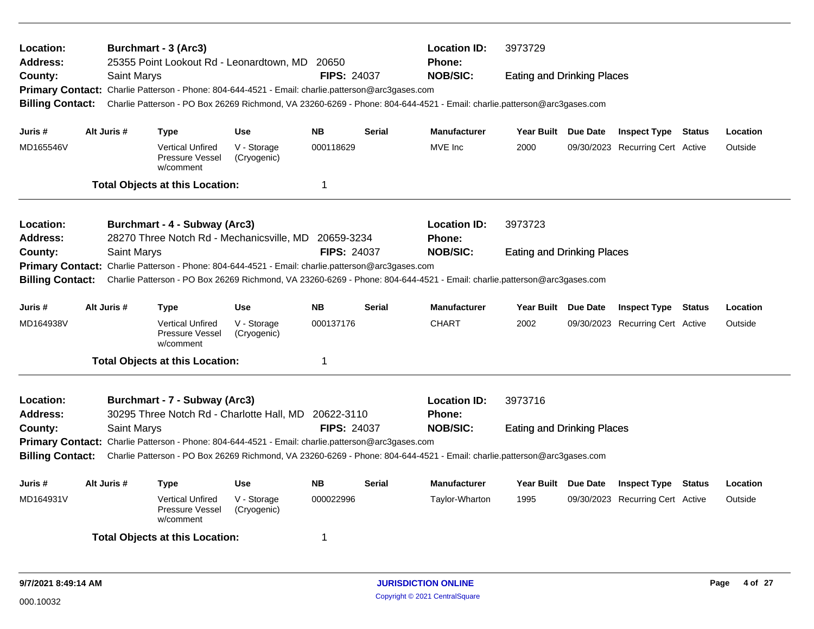| <b>Location:</b><br><b>Address:</b>                                                                             |             |             | <b>Burchmart - 3 (Arc3)</b>                             | 25355 Point Lookout Rd - Leonardtown, MD 20650                                                                          |                    |                | <b>Location ID:</b><br><b>Phone:</b> | 3973729                           |                                  |         |          |
|-----------------------------------------------------------------------------------------------------------------|-------------|-------------|---------------------------------------------------------|-------------------------------------------------------------------------------------------------------------------------|--------------------|----------------|--------------------------------------|-----------------------------------|----------------------------------|---------|----------|
| County:                                                                                                         |             | Saint Marys |                                                         |                                                                                                                         | <b>FIPS: 24037</b> |                | <b>NOB/SIC:</b>                      | <b>Eating and Drinking Places</b> |                                  |         |          |
|                                                                                                                 |             |             |                                                         | Primary Contact: Charlie Patterson - Phone: 804-644-4521 - Email: charlie.patterson@arc3gases.com                       |                    |                |                                      |                                   |                                  |         |          |
| <b>Billing Contact:</b>                                                                                         |             |             |                                                         | Charlie Patterson - PO Box 26269 Richmond, VA 23260-6269 - Phone: 804-644-4521 - Email: charlie.patterson@arc3gases.com |                    |                |                                      |                                   |                                  |         |          |
| Juris #                                                                                                         | Alt Juris # |             | <b>Type</b>                                             | <b>Use</b>                                                                                                              | <b>NB</b>          | <b>Serial</b>  | <b>Manufacturer</b>                  | Year Built Due Date               | <b>Inspect Type Status</b>       |         | Location |
| MD165546V                                                                                                       |             |             | <b>Vertical Unfired</b><br>Pressure Vessel<br>w/comment | V - Storage<br>(Cryogenic)                                                                                              | 000118629          |                | MVE Inc                              | 2000                              | 09/30/2023 Recurring Cert Active |         | Outside  |
|                                                                                                                 |             |             | <b>Total Objects at this Location:</b>                  |                                                                                                                         | $\mathbf 1$        |                |                                      |                                   |                                  |         |          |
| <b>Location:</b>                                                                                                |             |             | Burchmart - 4 - Subway (Arc3)                           |                                                                                                                         |                    |                | <b>Location ID:</b>                  | 3973723                           |                                  |         |          |
| <b>Address:</b>                                                                                                 |             |             |                                                         | 28270 Three Notch Rd - Mechanicsville, MD                                                                               | 20659-3234         |                | <b>Phone:</b>                        |                                   |                                  |         |          |
| County:                                                                                                         |             | Saint Marys |                                                         |                                                                                                                         | <b>FIPS: 24037</b> |                | <b>NOB/SIC:</b>                      | <b>Eating and Drinking Places</b> |                                  |         |          |
|                                                                                                                 |             |             |                                                         | Primary Contact: Charlie Patterson - Phone: 804-644-4521 - Email: charlie.patterson@arc3gases.com                       |                    |                |                                      |                                   |                                  |         |          |
| <b>Billing Contact:</b>                                                                                         |             |             |                                                         | Charlie Patterson - PO Box 26269 Richmond, VA 23260-6269 - Phone: 804-644-4521 - Email: charlie.patterson@arc3gases.com |                    |                |                                      |                                   |                                  |         |          |
| Juris #                                                                                                         | Alt Juris # |             | <b>Type</b>                                             | <b>Use</b>                                                                                                              | <b>NB</b>          | <b>Serial</b>  | <b>Manufacturer</b>                  | Year Built Due Date               | <b>Inspect Type Status</b>       |         | Location |
| MD164938V                                                                                                       |             |             | <b>Vertical Unfired</b><br>Pressure Vessel<br>w/comment | V - Storage<br>(Cryogenic)                                                                                              | 000137176          |                | <b>CHART</b>                         | 2002                              | 09/30/2023 Recurring Cert Active |         | Outside  |
|                                                                                                                 |             |             | <b>Total Objects at this Location:</b>                  |                                                                                                                         | -1                 |                |                                      |                                   |                                  |         |          |
| Location:                                                                                                       |             |             | Burchmart - 7 - Subway (Arc3)                           |                                                                                                                         |                    |                | <b>Location ID:</b>                  | 3973716                           |                                  |         |          |
| <b>Address:</b>                                                                                                 |             |             |                                                         | 30295 Three Notch Rd - Charlotte Hall, MD 20622-3110                                                                    |                    |                | <b>Phone:</b>                        |                                   |                                  |         |          |
| County:                                                                                                         |             | Saint Marys |                                                         |                                                                                                                         | <b>FIPS: 24037</b> |                | <b>NOB/SIC:</b>                      | <b>Eating and Drinking Places</b> |                                  |         |          |
|                                                                                                                 |             |             |                                                         | Primary Contact: Charlie Patterson - Phone: 804-644-4521 - Email: charlie.patterson@arc3gases.com                       |                    |                |                                      |                                   |                                  |         |          |
| <b>Billing Contact:</b>                                                                                         |             |             |                                                         | Charlie Patterson - PO Box 26269 Richmond, VA 23260-6269 - Phone: 804-644-4521 - Email: charlie.patterson@arc3gases.com |                    |                |                                      |                                   |                                  |         |          |
| Juris #                                                                                                         | Alt Juris # |             | <b>Type</b>                                             | <b>Use</b>                                                                                                              | <b>NB</b>          | <b>Serial</b>  | <b>Manufacturer</b>                  | Year Built Due Date               | <b>Inspect Type</b>              | Status  | Location |
| MD164931V<br><b>Vertical Unfired</b><br>V - Storage<br>000022996<br>Pressure Vessel<br>(Cryogenic)<br>w/comment |             |             |                                                         |                                                                                                                         |                    | Taylor-Wharton | 1995                                 | 09/30/2023 Recurring Cert Active  |                                  | Outside |          |
|                                                                                                                 |             |             | <b>Total Objects at this Location:</b>                  |                                                                                                                         | -1                 |                |                                      |                                   |                                  |         |          |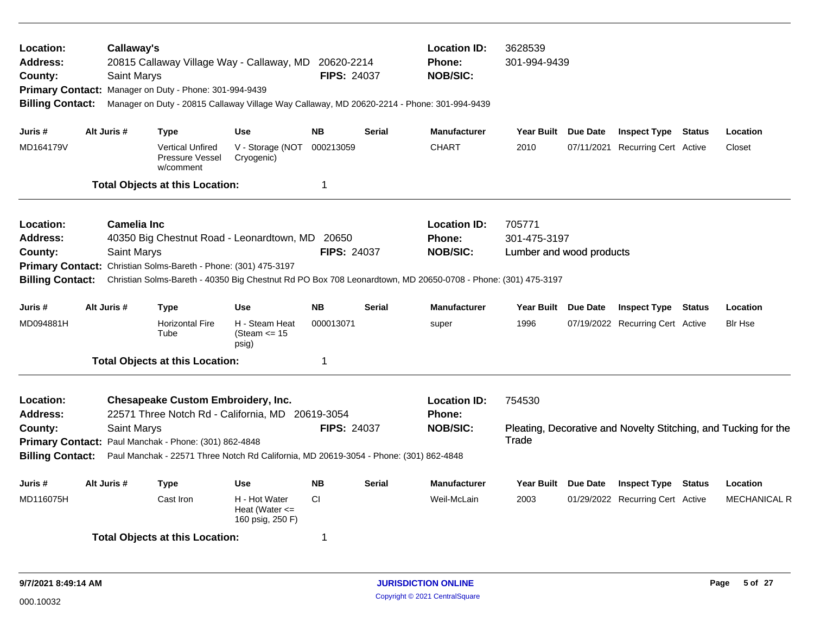| Location:<br><b>Address:</b><br>County:<br><b>Billing Contact:</b>                            |             | Callaway's<br>Saint Marys<br>Primary Contact: Manager on Duty - Phone: 301-994-9439 | 20815 Callaway Village Way - Callaway, MD 20620-2214<br>Manager on Duty - 20815 Callaway Village Way Callaway, MD 20620-2214 - Phone: 301-994-9439                                                                | <b>FIPS: 24037</b> |                                                  | <b>Location ID:</b><br><b>Phone:</b><br><b>NOB/SIC:</b> | 3628539<br>301-994-9439                            |                                                                 |                     |
|-----------------------------------------------------------------------------------------------|-------------|-------------------------------------------------------------------------------------|-------------------------------------------------------------------------------------------------------------------------------------------------------------------------------------------------------------------|--------------------|--------------------------------------------------|---------------------------------------------------------|----------------------------------------------------|-----------------------------------------------------------------|---------------------|
| Juris #                                                                                       | Alt Juris # | Type                                                                                | <b>Use</b>                                                                                                                                                                                                        | <b>NB</b>          | <b>Serial</b>                                    | <b>Manufacturer</b>                                     | Year Built Due Date                                | <b>Inspect Type Status</b>                                      | Location            |
| MD164179V                                                                                     |             | <b>Vertical Unfired</b><br>Pressure Vessel<br>w/comment                             | V - Storage (NOT<br>Cryogenic)                                                                                                                                                                                    | 000213059          |                                                  | <b>CHART</b>                                            | 2010                                               | 07/11/2021 Recurring Cert Active                                | Closet              |
|                                                                                               |             | <b>Total Objects at this Location:</b>                                              |                                                                                                                                                                                                                   | 1                  |                                                  |                                                         |                                                    |                                                                 |                     |
| Location:<br><b>Address:</b><br>County:<br><b>Primary Contact:</b><br><b>Billing Contact:</b> |             | <b>Camelia Inc</b><br>Saint Marys                                                   | 40350 Big Chestnut Road - Leonardtown, MD 20650<br>Christian Solms-Bareth - Phone: (301) 475-3197<br>Christian Solms-Bareth - 40350 Big Chestnut Rd PO Box 708 Leonardtown, MD 20650-0708 - Phone: (301) 475-3197 | <b>FIPS: 24037</b> |                                                  | <b>Location ID:</b><br><b>Phone:</b><br><b>NOB/SIC:</b> | 705771<br>301-475-3197<br>Lumber and wood products |                                                                 |                     |
| Juris #                                                                                       | Alt Juris # | <b>Type</b>                                                                         | <b>Use</b>                                                                                                                                                                                                        | <b>NB</b>          | <b>Serial</b>                                    | <b>Manufacturer</b>                                     | Year Built Due Date                                | <b>Inspect Type Status</b>                                      | Location            |
| MD094881H                                                                                     |             | <b>Horizontal Fire</b><br>Tube                                                      | H - Steam Heat<br>(Steam $\le$ 15<br>psig)                                                                                                                                                                        | 000013071          |                                                  | super                                                   | 1996                                               | 07/19/2022 Recurring Cert Active                                | <b>BIr Hse</b>      |
|                                                                                               |             | <b>Total Objects at this Location:</b>                                              |                                                                                                                                                                                                                   | 1                  |                                                  |                                                         |                                                    |                                                                 |                     |
| Location:<br><b>Address:</b><br>County:<br><b>Billing Contact:</b>                            |             | Saint Marys<br>Primary Contact: Paul Manchak - Phone: (301) 862-4848                | <b>Chesapeake Custom Embroidery, Inc.</b><br>22571 Three Notch Rd - California, MD 20619-3054<br>Paul Manchak - 22571 Three Notch Rd California, MD 20619-3054 - Phone: (301) 862-4848                            | <b>FIPS: 24037</b> | <b>Location ID:</b><br>Phone:<br><b>NOB/SIC:</b> | 754530<br>Trade                                         |                                                    | Pleating, Decorative and Novelty Stitching, and Tucking for the |                     |
| Juris #                                                                                       | Alt Juris # | Type                                                                                | <b>Use</b>                                                                                                                                                                                                        | <b>NB</b>          | Serial                                           | <b>Manufacturer</b>                                     | Year Built Due Date                                | <b>Inspect Type Status</b>                                      | Location            |
| MD116075H                                                                                     |             | Cast Iron                                                                           | H - Hot Water<br>Heat (Water $\leq$<br>160 psig, 250 F)                                                                                                                                                           | <b>CI</b>          |                                                  | Weil-McLain                                             | 2003                                               | 01/29/2022 Recurring Cert Active                                | <b>MECHANICAL R</b> |
|                                                                                               |             | <b>Total Objects at this Location:</b>                                              |                                                                                                                                                                                                                   | 1                  |                                                  |                                                         |                                                    |                                                                 |                     |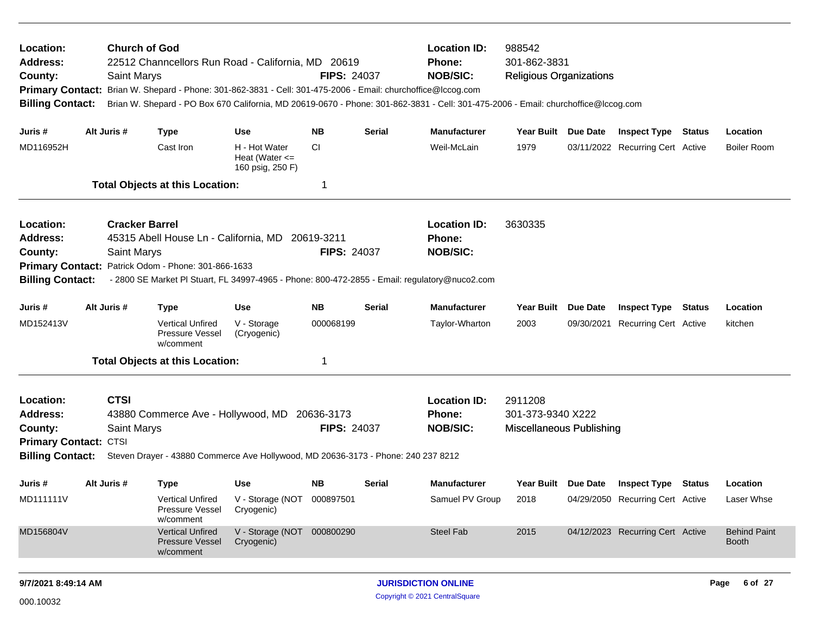| Location:<br><b>Address:</b><br>County:<br><b>Primary Contact:</b><br><b>Billing Contact:</b> |                                                                                                                                                                                                                                                                                                    | <b>Church of God</b><br><b>Saint Marys</b>  | 22512 Channcellors Run Road - California, MD 20619<br>Brian W. Shepard - Phone: 301-862-3831 - Cell: 301-475-2006 - Email: churchoffice@lccog.com |                                                         | <b>FIPS: 24037</b> |               | <b>Location ID:</b><br><b>Phone:</b><br><b>NOB/SIC:</b><br>Brian W. Shepard - PO Box 670 California, MD 20619-0670 - Phone: 301-862-3831 - Cell: 301-475-2006 - Email: churchoffice@lccog.com | 988542<br>301-862-3831<br><b>Religious Organizations</b>        |          |                                         |        |                                     |
|-----------------------------------------------------------------------------------------------|----------------------------------------------------------------------------------------------------------------------------------------------------------------------------------------------------------------------------------------------------------------------------------------------------|---------------------------------------------|---------------------------------------------------------------------------------------------------------------------------------------------------|---------------------------------------------------------|--------------------|---------------|-----------------------------------------------------------------------------------------------------------------------------------------------------------------------------------------------|-----------------------------------------------------------------|----------|-----------------------------------------|--------|-------------------------------------|
| Juris #                                                                                       |                                                                                                                                                                                                                                                                                                    | Alt Juris #                                 | <b>Type</b>                                                                                                                                       | <b>Use</b>                                              | <b>NB</b>          | <b>Serial</b> | <b>Manufacturer</b>                                                                                                                                                                           | Year Built Due Date                                             |          | <b>Inspect Type Status</b>              |        | Location                            |
| MD116952H                                                                                     |                                                                                                                                                                                                                                                                                                    |                                             | Cast Iron                                                                                                                                         | H - Hot Water<br>Heat (Water $\leq$<br>160 psig, 250 F) | СI                 |               | Weil-McLain                                                                                                                                                                                   | 1979                                                            |          | 03/11/2022 Recurring Cert Active        |        | <b>Boiler Room</b>                  |
|                                                                                               |                                                                                                                                                                                                                                                                                                    |                                             | <b>Total Objects at this Location:</b>                                                                                                            |                                                         |                    |               |                                                                                                                                                                                               |                                                                 |          |                                         |        |                                     |
| Location:<br><b>Address:</b><br>County:<br><b>Primary Contact:</b><br><b>Billing Contact:</b> |                                                                                                                                                                                                                                                                                                    | <b>Cracker Barrel</b><br><b>Saint Marys</b> | 45315 Abell House Ln - California, MD 20619-3211<br>Patrick Odom - Phone: 301-866-1633                                                            |                                                         | <b>FIPS: 24037</b> |               | <b>Location ID:</b><br><b>Phone:</b><br><b>NOB/SIC:</b><br>- 2800 SE Market PI Stuart, FL 34997-4965 - Phone: 800-472-2855 - Email: regulatory@nuco2.com                                      | 3630335                                                         |          |                                         |        |                                     |
| Juris #                                                                                       |                                                                                                                                                                                                                                                                                                    | Alt Juris #                                 | <b>Type</b>                                                                                                                                       | <b>Use</b>                                              | <b>NB</b>          | <b>Serial</b> | <b>Manufacturer</b>                                                                                                                                                                           | <b>Year Built</b>                                               | Due Date | <b>Inspect Type</b>                     | Status | Location                            |
| MD152413V                                                                                     |                                                                                                                                                                                                                                                                                                    |                                             | <b>Vertical Unfired</b><br>Pressure Vessel<br>w/comment                                                                                           | V - Storage<br>(Cryogenic)                              | 000068199          |               | Taylor-Wharton                                                                                                                                                                                | 2003                                                            |          | 09/30/2021 Recurring Cert Active        |        | kitchen                             |
|                                                                                               |                                                                                                                                                                                                                                                                                                    |                                             |                                                                                                                                                   |                                                         | -1                 |               |                                                                                                                                                                                               |                                                                 |          |                                         |        |                                     |
| Location:<br><b>Address:</b><br>County:                                                       | <b>Total Objects at this Location:</b><br><b>CTSI</b><br>43880 Commerce Ave - Hollywood, MD 20636-3173<br><b>FIPS: 24037</b><br><b>Saint Marys</b><br><b>Primary Contact: CTSI</b><br><b>Billing Contact:</b><br>Steven Drayer - 43880 Commerce Ave Hollywood, MD 20636-3173 - Phone: 240 237 8212 |                                             |                                                                                                                                                   |                                                         |                    |               |                                                                                                                                                                                               | 2911208<br>301-373-9340 X222<br><b>Miscellaneous Publishing</b> |          |                                         |        |                                     |
| Juris #                                                                                       |                                                                                                                                                                                                                                                                                                    | Alt Juris #                                 | <b>Type</b>                                                                                                                                       | <b>Use</b>                                              | NB.                | Serial        | <b>Manufacturer</b>                                                                                                                                                                           |                                                                 |          | Year Built Due Date Inspect Type Status |        | Location                            |
| MD111111V                                                                                     |                                                                                                                                                                                                                                                                                                    |                                             | Vertical Unfired<br>Pressure Vessel<br>w/comment                                                                                                  | V - Storage (NOT 000897501<br>Cryogenic)                |                    |               | Samuel PV Group                                                                                                                                                                               | 2018                                                            |          | 04/29/2050 Recurring Cert Active        |        | Laser Whse                          |
| MD156804V                                                                                     |                                                                                                                                                                                                                                                                                                    |                                             | <b>Vertical Unfired</b><br><b>Pressure Vessel</b><br>w/comment                                                                                    | V - Storage (NOT 000800290<br>Cryogenic)                |                    |               | Steel Fab                                                                                                                                                                                     | 2015                                                            |          | 04/12/2023 Recurring Cert Active        |        | <b>Behind Paint</b><br><b>Booth</b> |
|                                                                                               |                                                                                                                                                                                                                                                                                                    |                                             |                                                                                                                                                   |                                                         |                    |               |                                                                                                                                                                                               |                                                                 |          |                                         |        |                                     |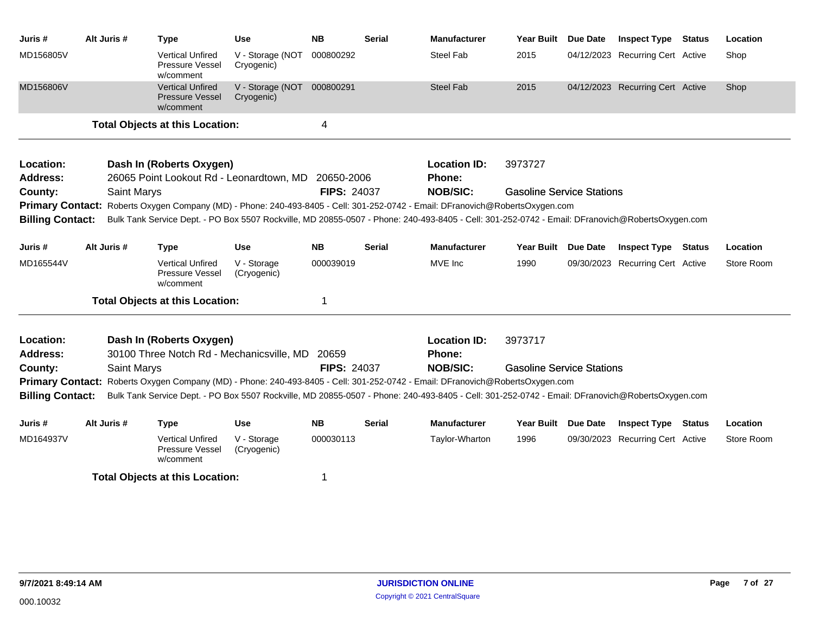| Juris #                      | Alt Juris # | Type                                                                                                                                                                                                                                                                             | Use                                      | <b>NB</b>          | <b>Serial</b> | <b>Manufacturer</b>                  | Year Built                       | Due Date | <b>Inspect Type Status</b>       | Location   |
|------------------------------|-------------|----------------------------------------------------------------------------------------------------------------------------------------------------------------------------------------------------------------------------------------------------------------------------------|------------------------------------------|--------------------|---------------|--------------------------------------|----------------------------------|----------|----------------------------------|------------|
| MD156805V                    |             | <b>Vertical Unfired</b><br><b>Pressure Vessel</b><br>w/comment                                                                                                                                                                                                                   | V - Storage (NOT<br>Cryogenic)           | 000800292          |               | <b>Steel Fab</b>                     | 2015                             |          | 04/12/2023 Recurring Cert Active | Shop       |
| MD156806V                    |             | <b>Vertical Unfired</b><br><b>Pressure Vessel</b><br>w/comment                                                                                                                                                                                                                   | V - Storage (NOT 000800291<br>Cryogenic) |                    |               | <b>Steel Fab</b>                     | 2015                             |          | 04/12/2023 Recurring Cert Active | Shop       |
|                              |             | <b>Total Objects at this Location:</b>                                                                                                                                                                                                                                           |                                          | 4                  |               |                                      |                                  |          |                                  |            |
| Location:<br><b>Address:</b> |             | Dash In (Roberts Oxygen)<br>26065 Point Lookout Rd - Leonardtown, MD 20650-2006                                                                                                                                                                                                  |                                          |                    |               | <b>Location ID:</b><br><b>Phone:</b> | 3973727                          |          |                                  |            |
| County:                      |             | <b>Saint Marys</b>                                                                                                                                                                                                                                                               |                                          | <b>FIPS: 24037</b> |               | <b>NOB/SIC:</b>                      | <b>Gasoline Service Stations</b> |          |                                  |            |
| <b>Billing Contact:</b>      |             | Primary Contact: Roberts Oxygen Company (MD) - Phone: 240-493-8405 - Cell: 301-252-0742 - Email: DFranovich@RobertsOxygen.com<br>Bulk Tank Service Dept. - PO Box 5507 Rockville, MD 20855-0507 - Phone: 240-493-8405 - Cell: 301-252-0742 - Email: DFranovich@RobertsOxygen.com |                                          |                    |               |                                      |                                  |          |                                  |            |
| Juris #                      | Alt Juris # | <b>Type</b>                                                                                                                                                                                                                                                                      | <b>Use</b>                               | <b>NB</b>          | <b>Serial</b> | <b>Manufacturer</b>                  | Year Built Due Date              |          | <b>Inspect Type Status</b>       | Location   |
| MD165544V                    |             | <b>Vertical Unfired</b><br>Pressure Vessel<br>w/comment                                                                                                                                                                                                                          | V - Storage<br>(Cryogenic)               | 000039019          |               | MVE Inc                              | 1990                             |          | 09/30/2023 Recurring Cert Active | Store Room |
|                              |             | <b>Total Objects at this Location:</b>                                                                                                                                                                                                                                           |                                          | 1                  |               |                                      |                                  |          |                                  |            |
| Location:<br>Address:        |             | Dash In (Roberts Oxygen)<br>30100 Three Notch Rd - Mechanicsville, MD                                                                                                                                                                                                            |                                          | 20659              |               | <b>Location ID:</b><br><b>Phone:</b> | 3973717                          |          |                                  |            |
| County:                      |             | <b>Saint Marys</b>                                                                                                                                                                                                                                                               |                                          | <b>FIPS: 24037</b> |               | <b>NOB/SIC:</b>                      | <b>Gasoline Service Stations</b> |          |                                  |            |
|                              |             | Primary Contact: Roberts Oxygen Company (MD) - Phone: 240-493-8405 - Cell: 301-252-0742 - Email: DFranovich@RobertsOxygen.com                                                                                                                                                    |                                          |                    |               |                                      |                                  |          |                                  |            |
| <b>Billing Contact:</b>      |             | Bulk Tank Service Dept. - PO Box 5507 Rockville, MD 20855-0507 - Phone: 240-493-8405 - Cell: 301-252-0742 - Email: DFranovich@RobertsOxygen.com                                                                                                                                  |                                          |                    |               |                                      |                                  |          |                                  |            |
| Juris #                      | Alt Juris # | <b>Type</b>                                                                                                                                                                                                                                                                      | <b>Use</b>                               | <b>NB</b>          | <b>Serial</b> | <b>Manufacturer</b>                  | Year Built Due Date              |          | <b>Inspect Type Status</b>       | Location   |
| MD164937V                    |             | <b>Vertical Unfired</b><br>Pressure Vessel<br>w/comment                                                                                                                                                                                                                          | V - Storage<br>(Cryogenic)               | 000030113          |               | Taylor-Wharton                       | 1996                             |          | 09/30/2023 Recurring Cert Active | Store Room |
|                              |             | <b>Total Objects at this Location:</b>                                                                                                                                                                                                                                           |                                          | 1                  |               |                                      |                                  |          |                                  |            |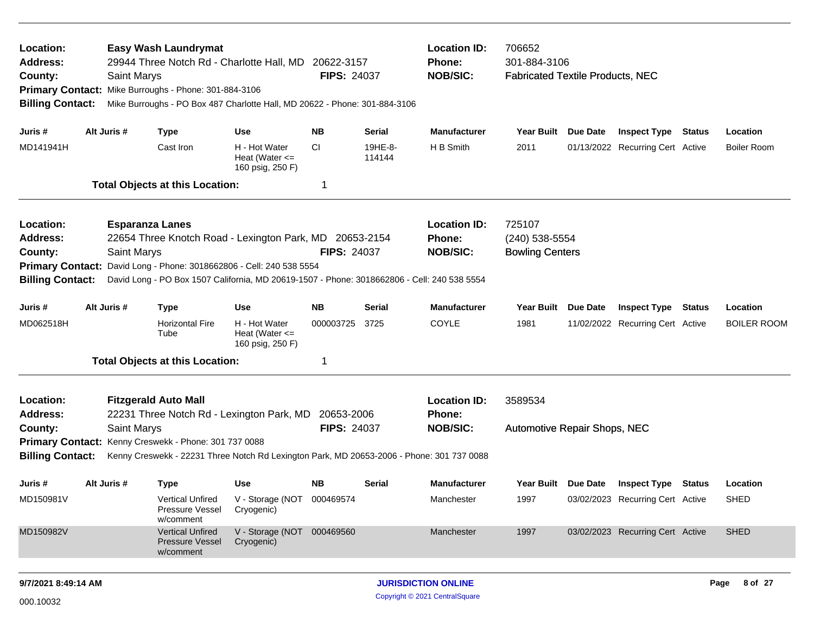| Location:<br><b>Address:</b><br>County:<br><b>Primary Contact:</b><br><b>Billing Contact:</b>                               | Saint Marys                           | Easy Wash Laundrymat<br>Mike Burroughs - Phone: 301-884-3106                                                                             | 29944 Three Notch Rd - Charlotte Hall, MD 20622-3157<br>Mike Burroughs - PO Box 487 Charlotte Hall, MD 20622 - Phone: 301-884-3106                                                                            | <b>FIPS: 24037</b>           |                                                                                                                                                      | <b>Location ID:</b><br><b>Phone:</b><br><b>NOB/SIC:</b> | 706652<br>301-884-3106<br><b>Fabricated Textile Products, NEC</b> |          |                                                                                             |               |                                        |
|-----------------------------------------------------------------------------------------------------------------------------|---------------------------------------|------------------------------------------------------------------------------------------------------------------------------------------|---------------------------------------------------------------------------------------------------------------------------------------------------------------------------------------------------------------|------------------------------|------------------------------------------------------------------------------------------------------------------------------------------------------|---------------------------------------------------------|-------------------------------------------------------------------|----------|---------------------------------------------------------------------------------------------|---------------|----------------------------------------|
| Juris #<br>MD141941H                                                                                                        | Alt Juris #                           | <b>Type</b><br>Cast Iron<br><b>Total Objects at this Location:</b>                                                                       | <b>Use</b><br>H - Hot Water<br>Heat (Water $\leq$<br>160 psig, 250 F)                                                                                                                                         | NΒ<br>СI<br>-1               | <b>Serial</b><br>19HE-8-<br>114144                                                                                                                   | <b>Manufacturer</b><br>H B Smith                        | Year Built Due Date<br>2011                                       |          | <b>Inspect Type Status</b><br>01/13/2022 Recurring Cert Active                              |               | Location<br><b>Boiler Room</b>         |
| Location:<br>Address:<br>County:<br><b>Primary Contact:</b><br><b>Billing Contact:</b>                                      | <b>Esparanza Lanes</b><br>Saint Marys |                                                                                                                                          | 22654 Three Knotch Road - Lexington Park, MD 20653-2154<br>David Long - Phone: 3018662806 - Cell: 240 538 5554<br>David Long - PO Box 1507 California, MD 20619-1507 - Phone: 3018662806 - Cell: 240 538 5554 | <b>FIPS: 24037</b>           |                                                                                                                                                      | <b>Location ID:</b><br><b>Phone:</b><br><b>NOB/SIC:</b> | 725107<br>(240) 538-5554<br><b>Bowling Centers</b>                |          |                                                                                             |               |                                        |
| Juris #<br>MD062518H                                                                                                        | Alt Juris #                           | <b>Type</b><br><b>Horizontal Fire</b><br>Tube<br><b>Total Objects at this Location:</b>                                                  | <b>Use</b><br>H - Hot Water<br>Heat (Water $\leq$<br>160 psig, 250 F)                                                                                                                                         | <b>NB</b><br>000003725<br>-1 | <b>Serial</b><br>3725                                                                                                                                | <b>Manufacturer</b><br>COYLE                            | Year Built<br>1981                                                | Due Date | <b>Inspect Type</b><br>11/02/2022 Recurring Cert Active                                     | <b>Status</b> | Location<br><b>BOILER ROOM</b>         |
| Location:<br><b>Address:</b><br>County:<br>Primary Contact: Kenny Creswekk - Phone: 301 737 0088<br><b>Billing Contact:</b> | <b>Saint Marys</b>                    | <b>Fitzgerald Auto Mall</b>                                                                                                              | 22231 Three Notch Rd - Lexington Park, MD 20653-2006                                                                                                                                                          | <b>FIPS: 24037</b>           | <b>Location ID:</b><br><b>Phone:</b><br><b>NOB/SIC:</b><br>Kenny Creswekk - 22231 Three Notch Rd Lexington Park, MD 20653-2006 - Phone: 301 737 0088 | 3589534<br>Automotive Repair Shops, NEC                 |                                                                   |          |                                                                                             |               |                                        |
| Juris #<br>MD150981V<br>MD150982V                                                                                           | Alt Juris #                           | <b>Type</b><br><b>Vertical Unfired</b><br>Pressure Vessel<br>w/comment<br><b>Vertical Unfired</b><br><b>Pressure Vessel</b><br>w/comment | <b>Use</b><br>V - Storage (NOT 000469574<br>Cryogenic)<br>V - Storage (NOT<br>Cryogenic)                                                                                                                      | NΒ<br>000469560              | <b>Serial</b>                                                                                                                                        | <b>Manufacturer</b><br>Manchester<br>Manchester         | Year Built Due Date<br>1997<br>1997                               |          | <b>Inspect Type</b><br>03/02/2023 Recurring Cert Active<br>03/02/2023 Recurring Cert Active | Status        | Location<br><b>SHED</b><br><b>SHED</b> |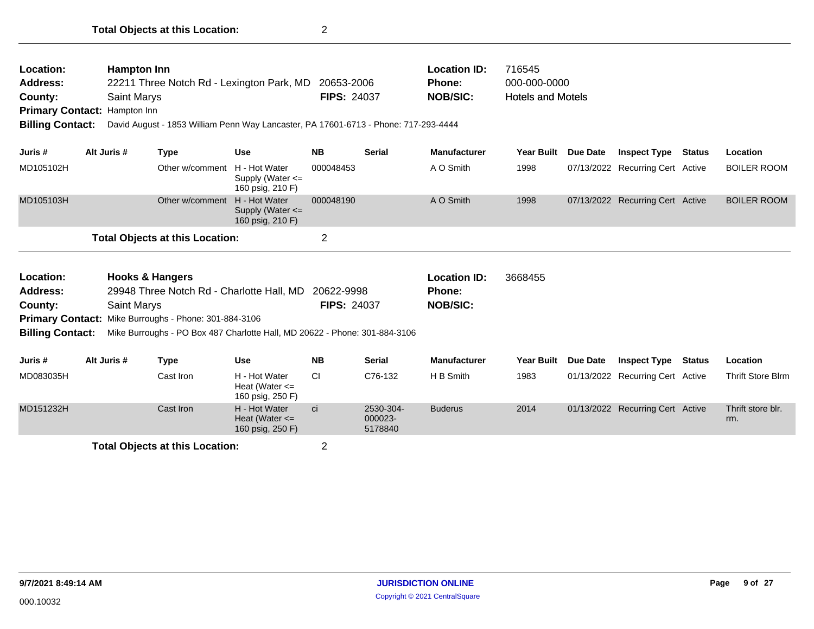| Location:<br>Address:<br>County:<br><b>Primary Contact: Hampton Inn</b><br><b>Billing Contact:</b> | <b>Hampton Inn</b><br><b>Saint Marys</b>  |                                                              | 22211 Three Notch Rd - Lexington Park, MD<br>David August - 1853 William Penn Way Lancaster, PA 17601-6713 - Phone: 717-293-4444 | 20653-2006<br><b>FIPS: 24037</b> |                                 | <b>Location ID:</b><br>Phone:<br><b>NOB/SIC:</b> | 716545<br>000-000-0000<br><b>Hotels and Motels</b> |                 |                                  |               |                          |
|----------------------------------------------------------------------------------------------------|-------------------------------------------|--------------------------------------------------------------|----------------------------------------------------------------------------------------------------------------------------------|----------------------------------|---------------------------------|--------------------------------------------------|----------------------------------------------------|-----------------|----------------------------------|---------------|--------------------------|
| Juris #                                                                                            | Alt Juris #                               | <b>Type</b>                                                  | <b>Use</b>                                                                                                                       | <b>NB</b>                        | <b>Serial</b>                   | <b>Manufacturer</b>                              | <b>Year Built</b>                                  | <b>Due Date</b> | <b>Inspect Type</b>              | Status        | Location                 |
| MD105102H                                                                                          |                                           | Other w/comment                                              | H - Hot Water<br>Supply (Water $\leq$<br>160 psig, 210 F)                                                                        | 000048453                        |                                 | A O Smith                                        | 1998                                               |                 | 07/13/2022 Recurring Cert Active |               | <b>BOILER ROOM</b>       |
| MD105103H                                                                                          |                                           | Other w/comment                                              | H - Hot Water<br>Supply (Water $\leq$<br>160 psig, 210 F)                                                                        | 000048190                        |                                 | A O Smith                                        | 1998                                               |                 | 07/13/2022 Recurring Cert Active |               | <b>BOILER ROOM</b>       |
|                                                                                                    |                                           | <b>Total Objects at this Location:</b>                       |                                                                                                                                  | $\overline{2}$                   |                                 |                                                  |                                                    |                 |                                  |               |                          |
| <b>Location:</b><br>Address:<br>County:<br>Billing Contact:                                        | <b>Hooks &amp; Hangers</b><br>Saint Marys | <b>Primary Contact:</b> Mike Burroughs - Phone: 301-884-3106 | 29948 Three Notch Rd - Charlotte Hall, MD<br>Mike Burroughs - PO Box 487 Charlotte Hall, MD 20622 - Phone: 301-884-3106          | 20622-9998<br><b>FIPS: 24037</b> |                                 | <b>Location ID:</b><br>Phone:<br><b>NOB/SIC:</b> | 3668455                                            |                 |                                  |               |                          |
| Juris #                                                                                            | Alt Juris #                               | <b>Type</b>                                                  | <b>Use</b>                                                                                                                       | <b>NB</b>                        | <b>Serial</b>                   | <b>Manufacturer</b>                              | Year Built                                         | <b>Due Date</b> | <b>Inspect Type</b>              | <b>Status</b> | Location                 |
| MD083035H                                                                                          |                                           | Cast Iron                                                    | H - Hot Water<br>Heat (Water $\leq$<br>160 psig, 250 F)                                                                          | <b>CI</b>                        | C76-132                         | H B Smith                                        | 1983                                               |                 | 01/13/2022 Recurring Cert Active |               | <b>Thrift Store Blrm</b> |
| MD151232H                                                                                          |                                           | Cast Iron                                                    | H - Hot Water<br>Heat (Water $\leq$<br>160 psig, 250 F)                                                                          | <b>ci</b>                        | 2530-304-<br>000023-<br>5178840 | <b>Buderus</b>                                   | 2014                                               |                 | 01/13/2022 Recurring Cert Active |               | Thrift store blr.<br>rm. |

**Total Objects at this Location:** 2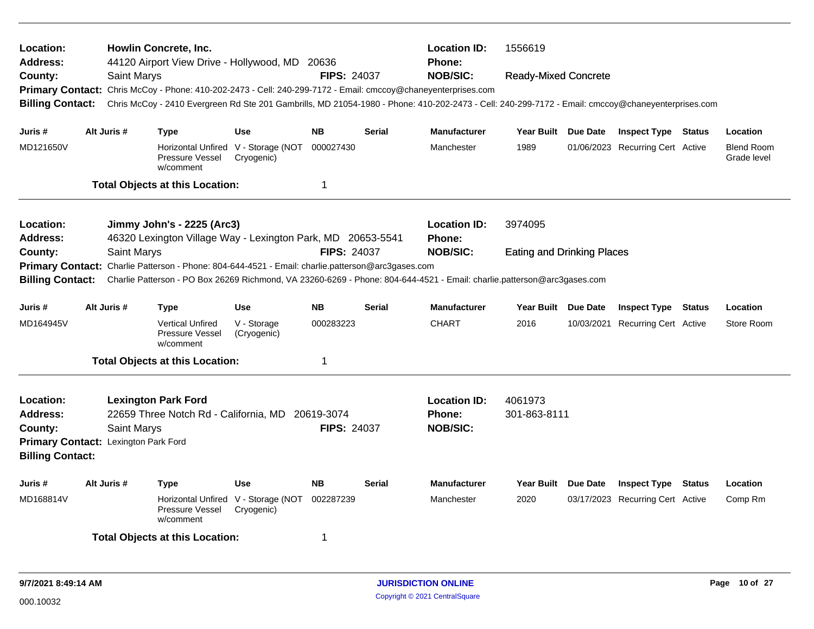| <b>Location:</b><br><b>Address:</b><br>County:<br><b>Billing Contact:</b>                                  |                                                                                                                                                                           | <b>Howlin Concrete, Inc.</b><br>Saint Marys |                                            | 44120 Airport View Drive - Hollywood, MD 20636<br>Primary Contact: Chris McCoy - Phone: 410-202-2473 - Cell: 240-299-7172 - Email: cmccoy@chaneyenterprises.com | <b>FIPS: 24037</b>               |               | <b>Location ID:</b><br><b>Phone:</b><br><b>NOB/SIC:</b><br>Chris McCoy - 2410 Evergreen Rd Ste 201 Gambrills, MD 21054-1980 - Phone: 410-202-2473 - Cell: 240-299-7172 - Email: cmccoy@chaneyenterprises.com | 1556619<br><b>Ready-Mixed Concrete</b> |                                  |               |                                  |
|------------------------------------------------------------------------------------------------------------|---------------------------------------------------------------------------------------------------------------------------------------------------------------------------|---------------------------------------------|--------------------------------------------|-----------------------------------------------------------------------------------------------------------------------------------------------------------------|----------------------------------|---------------|--------------------------------------------------------------------------------------------------------------------------------------------------------------------------------------------------------------|----------------------------------------|----------------------------------|---------------|----------------------------------|
| Juris #                                                                                                    | Alt Juris #                                                                                                                                                               | <b>Type</b>                                 |                                            | <b>Use</b>                                                                                                                                                      | <b>NB</b>                        | <b>Serial</b> | <b>Manufacturer</b>                                                                                                                                                                                          | Year Built Due Date                    | <b>Inspect Type Status</b>       |               | Location                         |
| MD121650V                                                                                                  |                                                                                                                                                                           | w/comment                                   | Pressure Vessel                            | Horizontal Unfired V - Storage (NOT<br>Cryogenic)                                                                                                               | 000027430                        |               | Manchester                                                                                                                                                                                                   | 1989                                   | 01/06/2023 Recurring Cert Active |               | <b>Blend Room</b><br>Grade level |
|                                                                                                            |                                                                                                                                                                           | <b>Total Objects at this Location:</b>      |                                            |                                                                                                                                                                 | 1                                |               |                                                                                                                                                                                                              |                                        |                                  |               |                                  |
| Location:<br><b>Address:</b>                                                                               |                                                                                                                                                                           | Jimmy John's - 2225 (Arc3)                  |                                            | 46320 Lexington Village Way - Lexington Park, MD 20653-5541                                                                                                     |                                  |               | <b>Location ID:</b><br><b>Phone:</b>                                                                                                                                                                         | 3974095                                |                                  |               |                                  |
| County:<br><b>Primary Contact:</b><br><b>Billing Contact:</b>                                              |                                                                                                                                                                           | Saint Marys                                 |                                            | Charlie Patterson - Phone: 804-644-4521 - Email: charlie.patterson@arc3gases.com                                                                                | <b>FIPS: 24037</b>               |               | <b>NOB/SIC:</b>                                                                                                                                                                                              | <b>Eating and Drinking Places</b>      |                                  |               |                                  |
| Juris #                                                                                                    | Charlie Patterson - PO Box 26269 Richmond, VA 23260-6269 - Phone: 804-644-4521 - Email: charlie.patterson@arc3gases.com<br>Alt Juris #<br><b>Use</b><br><b>NB</b><br>Type |                                             |                                            |                                                                                                                                                                 |                                  | <b>Serial</b> | <b>Manufacturer</b>                                                                                                                                                                                          | Year Built Due Date                    | <b>Inspect Type</b>              | Status        | Location                         |
| MD164945V                                                                                                  |                                                                                                                                                                           | w/comment                                   | <b>Vertical Unfired</b><br>Pressure Vessel | V - Storage<br>(Cryogenic)                                                                                                                                      | 000283223                        |               | <b>CHART</b>                                                                                                                                                                                                 | 2016                                   | 10/03/2021 Recurring Cert Active |               | Store Room                       |
|                                                                                                            |                                                                                                                                                                           | <b>Total Objects at this Location:</b>      |                                            |                                                                                                                                                                 | -1                               |               |                                                                                                                                                                                                              |                                        |                                  |               |                                  |
| Location:<br><b>Address:</b><br>County:<br>Primary Contact: Lexington Park Ford<br><b>Billing Contact:</b> |                                                                                                                                                                           | <b>Lexington Park Ford</b><br>Saint Marys   |                                            | 22659 Three Notch Rd - California, MD                                                                                                                           | 20619-3074<br><b>FIPS: 24037</b> |               | <b>Location ID:</b><br><b>Phone:</b><br><b>NOB/SIC:</b>                                                                                                                                                      | 4061973<br>301-863-8111                |                                  |               |                                  |
| Juris #                                                                                                    | Alt Juris #                                                                                                                                                               | Type                                        |                                            | <b>Use</b>                                                                                                                                                      | <b>NB</b>                        | <b>Serial</b> | <b>Manufacturer</b>                                                                                                                                                                                          | Year Built Due Date                    | <b>Inspect Type</b>              | <b>Status</b> | Location                         |
| MD168814V<br>Horizontal Unfired V - Storage (NOT<br>Pressure Vessel<br>Cryogenic)<br>w/comment             |                                                                                                                                                                           |                                             |                                            |                                                                                                                                                                 | 002287239                        |               | Manchester                                                                                                                                                                                                   | 2020                                   | 03/17/2023 Recurring Cert Active |               | Comp Rm                          |
|                                                                                                            |                                                                                                                                                                           | <b>Total Objects at this Location:</b>      |                                            |                                                                                                                                                                 | -1                               |               |                                                                                                                                                                                                              |                                        |                                  |               |                                  |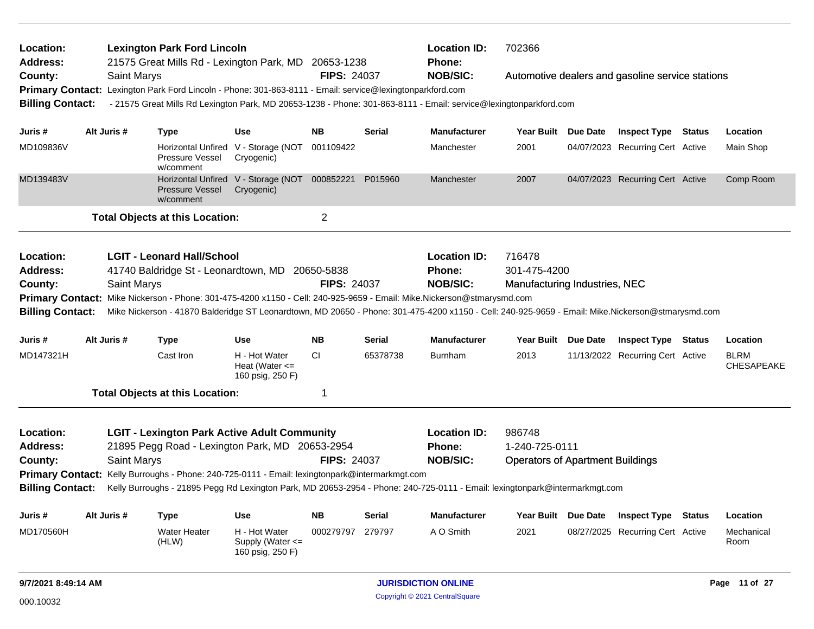| Location:<br>Address:   |             | <b>Lexington Park Ford Lincoln</b><br>21575 Great Mills Rd - Lexington Park, MD 20653-1238                                                        |                                                             |                    |               | <b>Location ID:</b><br><b>Phone:</b> | 702366                                  |                                                  |                                  |
|-------------------------|-------------|---------------------------------------------------------------------------------------------------------------------------------------------------|-------------------------------------------------------------|--------------------|---------------|--------------------------------------|-----------------------------------------|--------------------------------------------------|----------------------------------|
| County:                 |             | <b>Saint Marys</b>                                                                                                                                |                                                             | <b>FIPS: 24037</b> |               | <b>NOB/SIC:</b>                      |                                         | Automotive dealers and gasoline service stations |                                  |
|                         |             | Primary Contact: Lexington Park Ford Lincoln - Phone: 301-863-8111 - Email: service@lexingtonparkford.com                                         |                                                             |                    |               |                                      |                                         |                                                  |                                  |
| <b>Billing Contact:</b> |             | - 21575 Great Mills Rd Lexington Park, MD 20653-1238 - Phone: 301-863-8111 - Email: service@lexingtonparkford.com                                 |                                                             |                    |               |                                      |                                         |                                                  |                                  |
| Juris #                 | Alt Juris # | <b>Type</b>                                                                                                                                       | <b>Use</b>                                                  | <b>NB</b>          | <b>Serial</b> | <b>Manufacturer</b>                  | Year Built Due Date                     | <b>Inspect Type Status</b>                       | Location                         |
| MD109836V               |             | <b>Pressure Vessel</b><br>w/comment                                                                                                               | Horizontal Unfired V - Storage (NOT<br>Cryogenic)           | 001109422          |               | Manchester                           | 2001                                    | 04/07/2023 Recurring Cert Active                 | Main Shop                        |
| MD139483V               |             | <b>Pressure Vessel</b><br>w/comment                                                                                                               | Horizontal Unfired V - Storage (NOT 000852221<br>Cryogenic) |                    | P015960       | Manchester                           | 2007                                    | 04/07/2023 Recurring Cert Active                 | Comp Room                        |
|                         |             | <b>Total Objects at this Location:</b>                                                                                                            |                                                             | $\overline{2}$     |               |                                      |                                         |                                                  |                                  |
| Location:               |             | <b>LGIT - Leonard Hall/School</b>                                                                                                                 |                                                             |                    |               | <b>Location ID:</b>                  | 716478                                  |                                                  |                                  |
| <b>Address:</b>         |             | 41740 Baldridge St - Leonardtown, MD 20650-5838                                                                                                   |                                                             |                    |               | <b>Phone:</b>                        | 301-475-4200                            |                                                  |                                  |
| County:                 |             | Saint Marys                                                                                                                                       |                                                             | <b>FIPS: 24037</b> |               | <b>NOB/SIC:</b>                      | Manufacturing Industries, NEC           |                                                  |                                  |
|                         |             | Primary Contact: Mike Nickerson - Phone: 301-475-4200 x1150 - Cell: 240-925-9659 - Email: Mike.Nickerson@stmarysmd.com                            |                                                             |                    |               |                                      |                                         |                                                  |                                  |
| <b>Billing Contact:</b> |             | Mike Nickerson - 41870 Balderidge ST Leonardtown, MD 20650 - Phone: 301-475-4200 x1150 - Cell: 240-925-9659 - Email: Mike.Nickerson@stmarysmd.com |                                                             |                    |               |                                      |                                         |                                                  |                                  |
| Juris #                 | Alt Juris # | <b>Type</b>                                                                                                                                       | <b>Use</b>                                                  | <b>NB</b>          | <b>Serial</b> | <b>Manufacturer</b>                  | Year Built Due Date                     | <b>Inspect Type Status</b>                       | Location                         |
| MD147321H               |             | Cast Iron                                                                                                                                         | H - Hot Water                                               | СI                 | 65378738      | <b>Burnham</b>                       | 2013                                    | 11/13/2022 Recurring Cert Active                 |                                  |
|                         |             |                                                                                                                                                   | Heat (Water $\leq$<br>160 psig, 250 F)                      |                    |               |                                      |                                         |                                                  | <b>BLRM</b><br><b>CHESAPEAKE</b> |
|                         |             | <b>Total Objects at this Location:</b>                                                                                                            |                                                             | 1                  |               |                                      |                                         |                                                  |                                  |
| Location:               |             | <b>LGIT - Lexington Park Active Adult Community</b>                                                                                               |                                                             |                    |               | <b>Location ID:</b>                  | 986748                                  |                                                  |                                  |
| Address:                |             | 21895 Pegg Road - Lexington Park, MD 20653-2954                                                                                                   |                                                             |                    |               | <b>Phone:</b>                        | 1-240-725-0111                          |                                                  |                                  |
| County:                 |             | Saint Marys                                                                                                                                       |                                                             | <b>FIPS: 24037</b> |               | <b>NOB/SIC:</b>                      | <b>Operators of Apartment Buildings</b> |                                                  |                                  |
| <b>Primary Contact:</b> |             | Kelly Burroughs - Phone: 240-725-0111 - Email: lexingtonpark@intermarkmgt.com                                                                     |                                                             |                    |               |                                      |                                         |                                                  |                                  |
| <b>Billing Contact:</b> |             | Kelly Burroughs - 21895 Pegg Rd Lexington Park, MD 20653-2954 - Phone: 240-725-0111 - Email: lexingtonpark@intermarkmgt.com                       |                                                             |                    |               |                                      |                                         |                                                  |                                  |
| Juris #                 | Alt Juris # | Type                                                                                                                                              | Use                                                         | <b>NB</b>          | <b>Serial</b> | <b>Manufacturer</b>                  | Year Built Due Date                     | <b>Inspect Type Status</b>                       | Location                         |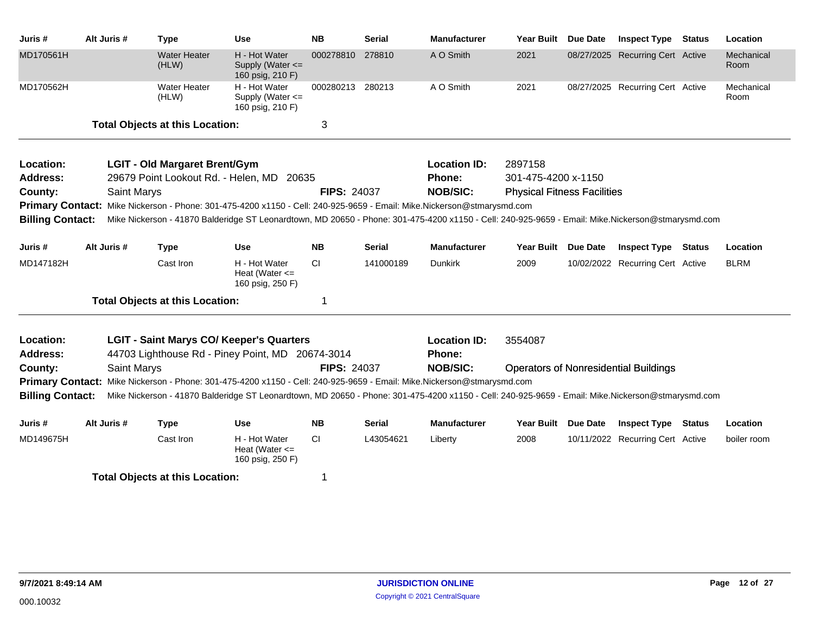| Juris #                                            | Alt Juris # |             | <b>Type</b>                            | Use                                                                                                                                                                                                                                                        | <b>NB</b>          | Serial        | <b>Manufacturer</b>           | <b>Year Built</b>                  | <b>Due Date</b> | <b>Inspect Type</b>                          | <b>Status</b> | Location           |
|----------------------------------------------------|-------------|-------------|----------------------------------------|------------------------------------------------------------------------------------------------------------------------------------------------------------------------------------------------------------------------------------------------------------|--------------------|---------------|-------------------------------|------------------------------------|-----------------|----------------------------------------------|---------------|--------------------|
| MD170561H                                          |             |             | <b>Water Heater</b><br>(HLW)           | H - Hot Water<br>Supply (Water $\leq$<br>160 psig, 210 F)                                                                                                                                                                                                  | 000278810          | 278810        | A O Smith                     | 2021                               |                 | 08/27/2025 Recurring Cert Active             |               | Mechanical<br>Room |
| MD170562H                                          |             |             | Water Heater<br>(HLW)                  | H - Hot Water<br>Supply (Water <=<br>160 psig, 210 F)                                                                                                                                                                                                      | 000280213 280213   |               | A O Smith                     | 2021                               |                 | 08/27/2025 Recurring Cert Active             |               | Mechanical<br>Room |
|                                                    |             |             | <b>Total Objects at this Location:</b> |                                                                                                                                                                                                                                                            | 3                  |               |                               |                                    |                 |                                              |               |                    |
| Location:                                          |             |             | <b>LGIT - Old Margaret Brent/Gym</b>   |                                                                                                                                                                                                                                                            |                    |               | <b>Location ID:</b>           | 2897158                            |                 |                                              |               |                    |
| Address:                                           |             |             |                                        | 29679 Point Lookout Rd. - Helen, MD 20635                                                                                                                                                                                                                  |                    |               | Phone:                        | 301-475-4200 x-1150                |                 |                                              |               |                    |
| County:                                            |             | Saint Marys |                                        |                                                                                                                                                                                                                                                            | <b>FIPS: 24037</b> |               | <b>NOB/SIC:</b>               | <b>Physical Fitness Facilities</b> |                 |                                              |               |                    |
|                                                    |             |             |                                        | Primary Contact: Mike Nickerson - Phone: 301-475-4200 x1150 - Cell: 240-925-9659 - Email: Mike.Nickerson@stmarysmd.com                                                                                                                                     |                    |               |                               |                                    |                 |                                              |               |                    |
| <b>Billing Contact:</b>                            |             |             |                                        | Mike Nickerson - 41870 Balderidge ST Leonardtown, MD 20650 - Phone: 301-475-4200 x1150 - Cell: 240-925-9659 - Email: Mike.Nickerson@stmarysmd.com                                                                                                          |                    |               |                               |                                    |                 |                                              |               |                    |
| Juris #                                            | Alt Juris # |             | <b>Type</b>                            | <b>Use</b>                                                                                                                                                                                                                                                 | <b>NB</b>          | <b>Serial</b> | <b>Manufacturer</b>           | <b>Year Built</b>                  | <b>Due Date</b> | <b>Inspect Type Status</b>                   |               | Location           |
| MD147182H                                          |             |             | Cast Iron                              | H - Hot Water<br>Heat (Water $\leq$<br>160 psig, 250 F)                                                                                                                                                                                                    | CI.                | 141000189     | <b>Dunkirk</b>                | 2009                               |                 | 10/02/2022 Recurring Cert Active             |               | <b>BLRM</b>        |
|                                                    |             |             | <b>Total Objects at this Location:</b> |                                                                                                                                                                                                                                                            | 1                  |               |                               |                                    |                 |                                              |               |                    |
| Location:<br><b>Address:</b>                       |             |             |                                        | <b>LGIT - Saint Marys CO/ Keeper's Quarters</b><br>44703 Lighthouse Rd - Piney Point, MD 20674-3014                                                                                                                                                        |                    |               | <b>Location ID:</b><br>Phone: | 3554087                            |                 |                                              |               |                    |
| County:                                            |             | Saint Marys |                                        |                                                                                                                                                                                                                                                            | <b>FIPS: 24037</b> |               | <b>NOB/SIC:</b>               |                                    |                 | <b>Operators of Nonresidential Buildings</b> |               |                    |
| <b>Primary Contact:</b><br><b>Billing Contact:</b> |             |             |                                        | Mike Nickerson - Phone: 301-475-4200 x1150 - Cell: 240-925-9659 - Email: Mike.Nickerson@stmarysmd.com<br>Mike Nickerson - 41870 Balderidge ST Leonardtown, MD 20650 - Phone: 301-475-4200 x1150 - Cell: 240-925-9659 - Email: Mike.Nickerson@stmarysmd.com |                    |               |                               |                                    |                 |                                              |               |                    |
|                                                    |             |             |                                        |                                                                                                                                                                                                                                                            |                    |               |                               |                                    |                 |                                              |               |                    |
| Juris #                                            | Alt Juris # |             | <b>Type</b>                            | Use                                                                                                                                                                                                                                                        | <b>NB</b>          | <b>Serial</b> | <b>Manufacturer</b>           | Year Built Due Date                |                 | <b>Inspect Type</b>                          | <b>Status</b> | Location           |
| MD149675H                                          |             |             | Cast Iron                              | H - Hot Water<br>Heat (Water $\leq$<br>160 psig, 250 F)                                                                                                                                                                                                    | <b>CI</b>          | L43054621     | Liberty                       | 2008                               |                 | 10/11/2022 Recurring Cert Active             |               | boiler room        |
|                                                    |             |             | <b>Total Objects at this Location:</b> |                                                                                                                                                                                                                                                            | 1                  |               |                               |                                    |                 |                                              |               |                    |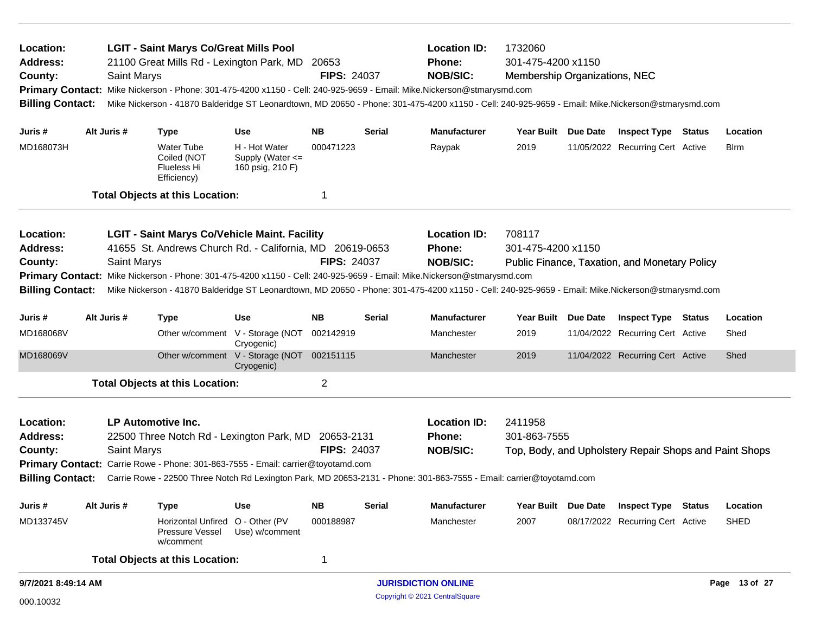| <b>LGIT - Saint Marys Co/Great Mills Pool</b><br>Location:<br>21100 Great Mills Rd - Lexington Park, MD<br><b>Address:</b><br>Saint Marys<br>County:<br>Mike Nickerson - Phone: 301-475-4200 x1150 - Cell: 240-925-9659 - Email: Mike.Nickerson@stmarysmd.com<br><b>Primary Contact:</b><br>Mike Nickerson - 41870 Balderidge ST Leonardtown, MD 20650 - Phone: 301-475-4200 x1150 - Cell: 240-925-9659 - Email: Mike.Nickerson@stmarysmd.com<br><b>Billing Contact:</b> |                                                                                                                        |                    |                                                                                  | 20653<br><b>FIPS: 24037</b>                               |                    | <b>Location ID:</b><br>Phone:<br><b>NOB/SIC:</b> | 1732060<br>301-475-4200 x1150<br>Membership Organizations, NEC                                                                                    |                     |                            |                                                        |               |
|--------------------------------------------------------------------------------------------------------------------------------------------------------------------------------------------------------------------------------------------------------------------------------------------------------------------------------------------------------------------------------------------------------------------------------------------------------------------------|------------------------------------------------------------------------------------------------------------------------|--------------------|----------------------------------------------------------------------------------|-----------------------------------------------------------|--------------------|--------------------------------------------------|---------------------------------------------------------------------------------------------------------------------------------------------------|---------------------|----------------------------|--------------------------------------------------------|---------------|
| Juris #                                                                                                                                                                                                                                                                                                                                                                                                                                                                  |                                                                                                                        | Alt Juris #        | <b>Type</b>                                                                      | <b>Use</b>                                                | <b>NB</b>          | <b>Serial</b>                                    | <b>Manufacturer</b>                                                                                                                               | <b>Year Built</b>   | <b>Due Date</b>            | <b>Inspect Type Status</b>                             | Location      |
| MD168073H                                                                                                                                                                                                                                                                                                                                                                                                                                                                |                                                                                                                        |                    | <b>Water Tube</b><br>Coiled (NOT<br><b>Flueless Hi</b><br>Efficiency)            | H - Hot Water<br>Supply (Water $\leq$<br>160 psig, 210 F) | 000471223          |                                                  | Raypak                                                                                                                                            | 2019                |                            | 11/05/2022 Recurring Cert Active                       | <b>B</b> lrm  |
|                                                                                                                                                                                                                                                                                                                                                                                                                                                                          |                                                                                                                        |                    | <b>Total Objects at this Location:</b>                                           |                                                           | -1                 |                                                  |                                                                                                                                                   |                     |                            |                                                        |               |
| Location:                                                                                                                                                                                                                                                                                                                                                                                                                                                                |                                                                                                                        |                    | <b>LGIT - Saint Marys Co/Vehicle Maint. Facility</b>                             |                                                           |                    |                                                  | <b>Location ID:</b>                                                                                                                               | 708117              |                            |                                                        |               |
| <b>Address:</b>                                                                                                                                                                                                                                                                                                                                                                                                                                                          |                                                                                                                        |                    | 41655 St. Andrews Church Rd. - California, MD 20619-0653                         |                                                           |                    |                                                  | <b>Phone:</b>                                                                                                                                     | 301-475-4200 x1150  |                            |                                                        |               |
| County:                                                                                                                                                                                                                                                                                                                                                                                                                                                                  |                                                                                                                        | Saint Marys        |                                                                                  |                                                           | <b>FIPS: 24037</b> |                                                  | <b>NOB/SIC:</b>                                                                                                                                   |                     |                            | Public Finance, Taxation, and Monetary Policy          |               |
|                                                                                                                                                                                                                                                                                                                                                                                                                                                                          | Primary Contact: Mike Nickerson - Phone: 301-475-4200 x1150 - Cell: 240-925-9659 - Email: Mike.Nickerson@stmarysmd.com |                    |                                                                                  |                                                           |                    |                                                  |                                                                                                                                                   |                     |                            |                                                        |               |
| <b>Billing Contact:</b>                                                                                                                                                                                                                                                                                                                                                                                                                                                  |                                                                                                                        |                    |                                                                                  |                                                           |                    |                                                  | Mike Nickerson - 41870 Balderidge ST Leonardtown, MD 20650 - Phone: 301-475-4200 x1150 - Cell: 240-925-9659 - Email: Mike.Nickerson@stmarysmd.com |                     |                            |                                                        |               |
| Juris #                                                                                                                                                                                                                                                                                                                                                                                                                                                                  | Alt Juris #<br><b>Use</b><br><b>Type</b>                                                                               |                    |                                                                                  |                                                           | <b>NB</b>          | <b>Serial</b>                                    | <b>Manufacturer</b>                                                                                                                               | Year Built Due Date |                            | <b>Inspect Type Status</b>                             | Location      |
| MD168068V                                                                                                                                                                                                                                                                                                                                                                                                                                                                |                                                                                                                        |                    |                                                                                  | Other w/comment V - Storage (NOT<br>Cryogenic)            | 002142919          |                                                  | Manchester                                                                                                                                        | 2019                |                            | 11/04/2022 Recurring Cert Active                       | Shed          |
| MD168069V                                                                                                                                                                                                                                                                                                                                                                                                                                                                |                                                                                                                        |                    |                                                                                  | Other w/comment V - Storage (NOT<br>Cryogenic)            | 002151115          |                                                  | Manchester                                                                                                                                        | 2019                |                            | 11/04/2022 Recurring Cert Active                       | Shed          |
|                                                                                                                                                                                                                                                                                                                                                                                                                                                                          |                                                                                                                        |                    | <b>Total Objects at this Location:</b>                                           |                                                           | $\overline{2}$     |                                                  |                                                                                                                                                   |                     |                            |                                                        |               |
| Location:                                                                                                                                                                                                                                                                                                                                                                                                                                                                |                                                                                                                        |                    | LP Automotive Inc.                                                               |                                                           |                    |                                                  | <b>Location ID:</b>                                                                                                                               | 2411958             |                            |                                                        |               |
| <b>Address:</b>                                                                                                                                                                                                                                                                                                                                                                                                                                                          |                                                                                                                        |                    | 22500 Three Notch Rd - Lexington Park, MD 20653-2131                             |                                                           |                    |                                                  | Phone:                                                                                                                                            | 301-863-7555        |                            |                                                        |               |
| County:                                                                                                                                                                                                                                                                                                                                                                                                                                                                  |                                                                                                                        | <b>Saint Marys</b> |                                                                                  |                                                           | <b>FIPS: 24037</b> |                                                  | <b>NOB/SIC:</b>                                                                                                                                   |                     |                            | Top, Body, and Upholstery Repair Shops and Paint Shops |               |
|                                                                                                                                                                                                                                                                                                                                                                                                                                                                          |                                                                                                                        |                    | Primary Contact: Carrie Rowe - Phone: 301-863-7555 - Email: carrier@toyotamd.com |                                                           |                    |                                                  |                                                                                                                                                   |                     |                            |                                                        |               |
| <b>Billing Contact:</b>                                                                                                                                                                                                                                                                                                                                                                                                                                                  |                                                                                                                        |                    |                                                                                  |                                                           |                    |                                                  | Carrie Rowe - 22500 Three Notch Rd Lexington Park, MD 20653-2131 - Phone: 301-863-7555 - Email: carrier@toyotamd.com                              |                     |                            |                                                        |               |
| Juris #                                                                                                                                                                                                                                                                                                                                                                                                                                                                  | Alt Juris #<br><b>Use</b><br><b>Type</b>                                                                               |                    |                                                                                  | <b>NB</b>                                                 | <b>Serial</b>      | <b>Manufacturer</b>                              | Year Built Due Date                                                                                                                               |                     | <b>Inspect Type Status</b> | Location                                               |               |
| MD133745V                                                                                                                                                                                                                                                                                                                                                                                                                                                                |                                                                                                                        |                    | Horizontal Unfired<br>Pressure Vessel<br>w/comment                               | O - Other (PV<br>Use) w/comment                           | 000188987          |                                                  | Manchester                                                                                                                                        | 2007                |                            | 08/17/2022 Recurring Cert Active                       | <b>SHED</b>   |
|                                                                                                                                                                                                                                                                                                                                                                                                                                                                          |                                                                                                                        |                    | <b>Total Objects at this Location:</b>                                           |                                                           | $\mathbf 1$        |                                                  |                                                                                                                                                   |                     |                            |                                                        |               |
| 9/7/2021 8:49:14 AM                                                                                                                                                                                                                                                                                                                                                                                                                                                      |                                                                                                                        |                    |                                                                                  |                                                           |                    |                                                  | <b>JURISDICTION ONLINE</b>                                                                                                                        |                     |                            |                                                        | Page 13 of 27 |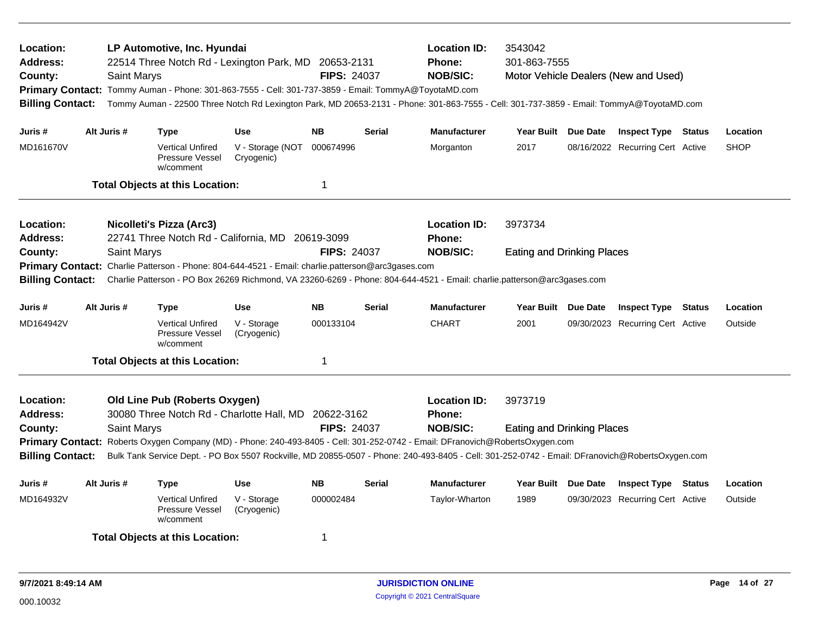| Location:<br><b>Address:</b><br>County:<br><b>Billing Contact:</b>                                                                                                  |  | <b>Saint Marys</b> | LP Automotive, Inc. Hyundai                                    | 22514 Three Notch Rd - Lexington Park, MD 20653-2131<br>Primary Contact: Tommy Auman - Phone: 301-863-7555 - Cell: 301-737-3859 - Email: TommyA@ToyotaMD.com | <b>FIPS: 24037</b> |               | <b>Location ID:</b><br><b>Phone:</b><br><b>NOB/SIC:</b><br>Tommy Auman - 22500 Three Notch Rd Lexington Park, MD 20653-2131 - Phone: 301-863-7555 - Cell: 301-737-3859 - Email: TommyA@ToyotaMD.com                                                                                                                 | 3543042<br>301-863-7555                      | Motor Vehicle Dealers (New and Used) |        |             |
|---------------------------------------------------------------------------------------------------------------------------------------------------------------------|--|--------------------|----------------------------------------------------------------|--------------------------------------------------------------------------------------------------------------------------------------------------------------|--------------------|---------------|---------------------------------------------------------------------------------------------------------------------------------------------------------------------------------------------------------------------------------------------------------------------------------------------------------------------|----------------------------------------------|--------------------------------------|--------|-------------|
| Juris #                                                                                                                                                             |  | Alt Juris #        | <b>Type</b>                                                    | <b>Use</b>                                                                                                                                                   | <b>NB</b>          | <b>Serial</b> | <b>Manufacturer</b>                                                                                                                                                                                                                                                                                                 | Year Built Due Date                          | <b>Inspect Type Status</b>           |        | Location    |
| MD161670V                                                                                                                                                           |  |                    | <b>Vertical Unfired</b><br>Pressure Vessel<br>w/comment        | V - Storage (NOT<br>Cryogenic)                                                                                                                               | 000674996          |               | Morganton                                                                                                                                                                                                                                                                                                           | 2017                                         | 08/16/2022 Recurring Cert Active     |        | <b>SHOP</b> |
|                                                                                                                                                                     |  |                    | <b>Total Objects at this Location:</b>                         |                                                                                                                                                              | $\mathbf 1$        |               |                                                                                                                                                                                                                                                                                                                     |                                              |                                      |        |             |
| Location:<br><b>Nicolleti's Pizza (Arc3)</b><br>22741 Three Notch Rd - California, MD 20619-3099<br><b>Address:</b><br>County:<br>Saint Marys<br><b>FIPS: 24037</b> |  |                    |                                                                |                                                                                                                                                              |                    |               | <b>Location ID:</b><br>Phone:                                                                                                                                                                                                                                                                                       | 3973734                                      |                                      |        |             |
| <b>Billing Contact:</b>                                                                                                                                             |  |                    |                                                                | Primary Contact: Charlie Patterson - Phone: 804-644-4521 - Email: charlie.patterson@arc3gases.com                                                            |                    |               | <b>NOB/SIC:</b><br>Charlie Patterson - PO Box 26269 Richmond, VA 23260-6269 - Phone: 804-644-4521 - Email: charlie.patterson@arc3gases.com                                                                                                                                                                          | <b>Eating and Drinking Places</b>            |                                      |        |             |
| Juris #                                                                                                                                                             |  | Alt Juris #        | Type                                                           | <b>Use</b>                                                                                                                                                   | <b>NB</b>          | <b>Serial</b> | <b>Manufacturer</b>                                                                                                                                                                                                                                                                                                 | Year Built Due Date                          | <b>Inspect Type</b>                  | Status | Location    |
| MD164942V                                                                                                                                                           |  |                    | <b>Vertical Unfired</b><br><b>Pressure Vessel</b><br>w/comment | V - Storage<br>(Cryogenic)                                                                                                                                   | 000133104          |               | <b>CHART</b>                                                                                                                                                                                                                                                                                                        | 2001                                         | 09/30/2023 Recurring Cert Active     |        | Outside     |
|                                                                                                                                                                     |  |                    | <b>Total Objects at this Location:</b>                         |                                                                                                                                                              | $\mathbf 1$        |               |                                                                                                                                                                                                                                                                                                                     |                                              |                                      |        |             |
| Location:<br><b>Address:</b><br>County:<br><b>Primary Contact:</b><br><b>Billing Contact:</b>                                                                       |  | <b>Saint Marys</b> | <b>Old Line Pub (Roberts Oxygen)</b>                           | 30080 Three Notch Rd - Charlotte Hall, MD 20622-3162                                                                                                         | <b>FIPS: 24037</b> |               | <b>Location ID:</b><br>Phone:<br><b>NOB/SIC:</b><br>Roberts Oxygen Company (MD) - Phone: 240-493-8405 - Cell: 301-252-0742 - Email: DFranovich@RobertsOxygen.com<br>Bulk Tank Service Dept. - PO Box 5507 Rockville, MD 20855-0507 - Phone: 240-493-8405 - Cell: 301-252-0742 - Email: DFranovich@RobertsOxygen.com | 3973719<br><b>Eating and Drinking Places</b> |                                      |        |             |
| Juris #                                                                                                                                                             |  | Alt Juris #        | <b>Type</b>                                                    | <b>Use</b>                                                                                                                                                   | <b>NB</b>          | <b>Serial</b> | <b>Manufacturer</b>                                                                                                                                                                                                                                                                                                 | Year Built Due Date                          | <b>Inspect Type Status</b>           |        | Location    |
| MD164932V                                                                                                                                                           |  |                    | <b>Vertical Unfired</b><br>Pressure Vessel<br>w/comment        | V - Storage<br>(Cryogenic)                                                                                                                                   | 000002484          |               | Taylor-Wharton                                                                                                                                                                                                                                                                                                      | 1989                                         | 09/30/2023 Recurring Cert Active     |        | Outside     |
|                                                                                                                                                                     |  |                    | <b>Total Objects at this Location:</b>                         |                                                                                                                                                              | -1                 |               |                                                                                                                                                                                                                                                                                                                     |                                              |                                      |        |             |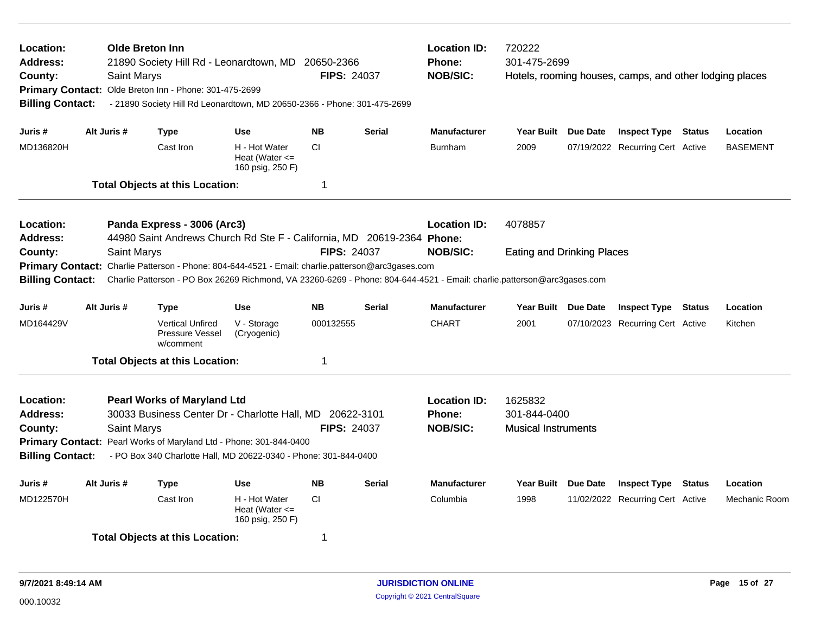| Location:<br><b>Address:</b><br>County:<br><b>Billing Contact:</b> | <b>Saint Marys</b> | <b>Olde Breton Inn</b><br>21890 Society Hill Rd - Leonardtown, MD 20650-2366<br>Primary Contact: Olde Breton Inn - Phone: 301-475-2699<br>- 21890 Society Hill Rd Leonardtown, MD 20650-2366 - Phone: 301-475-2699                       |                                                         | <b>FIPS: 24037</b> |               | <b>Location ID:</b><br><b>Phone:</b><br><b>NOB/SIC:</b>                                                                                    | 720222<br>301-475-2699                                | Hotels, rooming houses, camps, and other lodging places |               |                 |
|--------------------------------------------------------------------|--------------------|------------------------------------------------------------------------------------------------------------------------------------------------------------------------------------------------------------------------------------------|---------------------------------------------------------|--------------------|---------------|--------------------------------------------------------------------------------------------------------------------------------------------|-------------------------------------------------------|---------------------------------------------------------|---------------|-----------------|
| Juris #                                                            | Alt Juris #        | <b>Type</b>                                                                                                                                                                                                                              | Use                                                     | <b>NB</b>          | <b>Serial</b> | <b>Manufacturer</b>                                                                                                                        | Year Built Due Date                                   | <b>Inspect Type Status</b>                              |               | Location        |
| MD136820H                                                          |                    | Cast Iron                                                                                                                                                                                                                                | H - Hot Water<br>Heat (Water $\leq$<br>160 psig, 250 F) | CI.                |               | <b>Burnham</b>                                                                                                                             | 2009                                                  | 07/19/2022 Recurring Cert Active                        |               | <b>BASEMENT</b> |
|                                                                    |                    | <b>Total Objects at this Location:</b>                                                                                                                                                                                                   |                                                         | $\mathbf 1$        |               |                                                                                                                                            |                                                       |                                                         |               |                 |
| Location:<br><b>Address:</b>                                       |                    | Panda Express - 3006 (Arc3)<br>44980 Saint Andrews Church Rd Ste F - California, MD 20619-2364 Phone:                                                                                                                                    |                                                         |                    |               | <b>Location ID:</b>                                                                                                                        | 4078857                                               |                                                         |               |                 |
| County:<br><b>Primary Contact:</b><br><b>Billing Contact:</b>      | Saint Marys        | Charlie Patterson - Phone: 804-644-4521 - Email: charlie.patterson@arc3gases.com                                                                                                                                                         |                                                         | <b>FIPS: 24037</b> |               | <b>NOB/SIC:</b><br>Charlie Patterson - PO Box 26269 Richmond, VA 23260-6269 - Phone: 804-644-4521 - Email: charlie.patterson@arc3gases.com | <b>Eating and Drinking Places</b>                     |                                                         |               |                 |
| Juris #                                                            | Alt Juris #        | <b>Type</b>                                                                                                                                                                                                                              | <b>Use</b>                                              | <b>NB</b>          | <b>Serial</b> | <b>Manufacturer</b>                                                                                                                        | Year Built Due Date                                   | <b>Inspect Type Status</b>                              |               | Location        |
| MD164429V                                                          |                    | <b>Vertical Unfired</b><br>Pressure Vessel<br>w/comment                                                                                                                                                                                  | V - Storage<br>(Cryogenic)                              | 000132555          |               | <b>CHART</b>                                                                                                                               | 2001                                                  | 07/10/2023 Recurring Cert Active                        |               | Kitchen         |
|                                                                    |                    | <b>Total Objects at this Location:</b>                                                                                                                                                                                                   |                                                         | 1                  |               |                                                                                                                                            |                                                       |                                                         |               |                 |
| Location:<br><b>Address:</b><br>County:<br><b>Billing Contact:</b> | Saint Marys        | <b>Pearl Works of Maryland Ltd</b><br>30033 Business Center Dr - Charlotte Hall, MD 20622-3101<br>Primary Contact: Pearl Works of Maryland Ltd - Phone: 301-844-0400<br>- PO Box 340 Charlotte Hall, MD 20622-0340 - Phone: 301-844-0400 |                                                         | <b>FIPS: 24037</b> |               | <b>Location ID:</b><br><b>Phone:</b><br><b>NOB/SIC:</b>                                                                                    | 1625832<br>301-844-0400<br><b>Musical Instruments</b> |                                                         |               |                 |
| Juris #                                                            | Alt Juris #        | <b>Type</b>                                                                                                                                                                                                                              | <b>Use</b>                                              | <b>NB</b>          | <b>Serial</b> | <b>Manufacturer</b>                                                                                                                        | Year Built Due Date                                   | <b>Inspect Type</b>                                     | <b>Status</b> | Location        |
| MD122570H                                                          |                    | Cast Iron                                                                                                                                                                                                                                | H - Hot Water<br>Heat (Water $\leq$<br>160 psig, 250 F) | <b>CI</b>          |               | Columbia                                                                                                                                   | 1998                                                  | 11/02/2022 Recurring Cert Active                        |               | Mechanic Room   |
|                                                                    |                    | <b>Total Objects at this Location:</b>                                                                                                                                                                                                   |                                                         | 1                  |               |                                                                                                                                            |                                                       |                                                         |               |                 |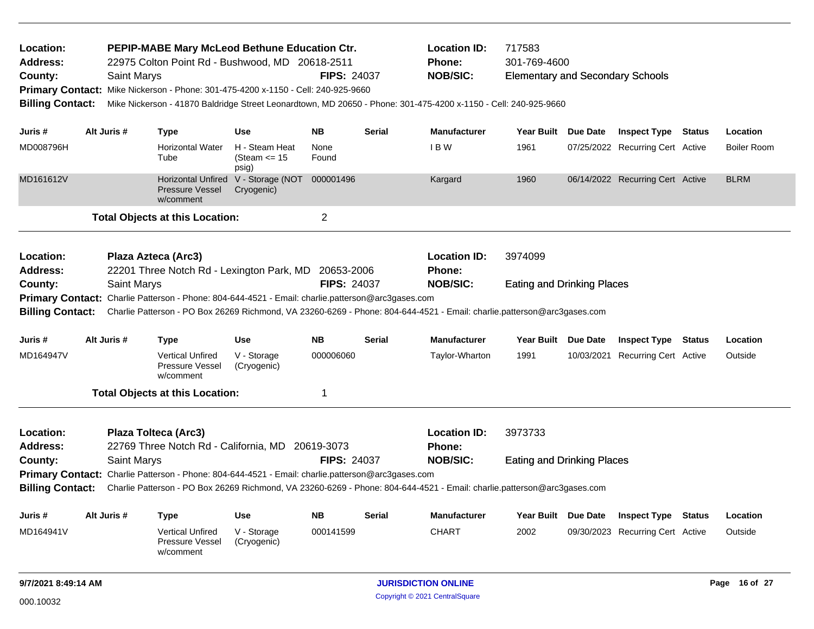| Location:<br><b>Address:</b><br>County:<br><b>Billing Contact:</b>                                        |                                                       | <b>Saint Marys</b> | PEPIP-MABE Mary McLeod Bethune Education Ctr.<br>22975 Colton Point Rd - Bushwood, MD 20618-2511<br>Primary Contact: Mike Nickerson - Phone: 301-475-4200 x-1150 - Cell: 240-925-9660 |                                                   | <b>FIPS: 24037</b>  |               | <b>Location ID:</b><br><b>Phone:</b><br><b>NOB/SIC:</b><br>Mike Nickerson - 41870 Baldridge Street Leonardtown, MD 20650 - Phone: 301-475-4200 x-1150 - Cell: 240-925-9660 | 717583<br>301-769-4600<br><b>Elementary and Secondary Schools</b> |                                  |                                  |         |                    |
|-----------------------------------------------------------------------------------------------------------|-------------------------------------------------------|--------------------|---------------------------------------------------------------------------------------------------------------------------------------------------------------------------------------|---------------------------------------------------|---------------------|---------------|----------------------------------------------------------------------------------------------------------------------------------------------------------------------------|-------------------------------------------------------------------|----------------------------------|----------------------------------|---------|--------------------|
| Juris #                                                                                                   |                                                       | Alt Juris #        | <b>Type</b>                                                                                                                                                                           | <b>Use</b>                                        | NB.                 | Serial        | <b>Manufacturer</b>                                                                                                                                                        | Year Built Due Date                                               |                                  | <b>Inspect Type Status</b>       |         | Location           |
| MD008796H                                                                                                 |                                                       |                    | <b>Horizontal Water</b><br>Tube                                                                                                                                                       | H - Steam Heat<br>(Steam $\le$ 15<br>psig)        | None<br>Found       |               | IBW                                                                                                                                                                        | 1961                                                              |                                  | 07/25/2022 Recurring Cert Active |         | <b>Boiler Room</b> |
| MD161612V                                                                                                 |                                                       |                    | <b>Pressure Vessel</b><br>w/comment                                                                                                                                                   | Horizontal Unfired V - Storage (NOT<br>Cryogenic) | 000001496           |               | Kargard                                                                                                                                                                    | 1960                                                              |                                  | 06/14/2022 Recurring Cert Active |         | <b>BLRM</b>        |
|                                                                                                           |                                                       |                    | <b>Total Objects at this Location:</b>                                                                                                                                                |                                                   | 2                   |               |                                                                                                                                                                            |                                                                   |                                  |                                  |         |                    |
| Location:<br><b>Address:</b>                                                                              |                                                       |                    | Plaza Azteca (Arc3)<br>22201 Three Notch Rd - Lexington Park, MD 20653-2006                                                                                                           |                                                   |                     |               | <b>Location ID:</b><br><b>Phone:</b>                                                                                                                                       | 3974099                                                           |                                  |                                  |         |                    |
| County:                                                                                                   |                                                       | Saint Marys        |                                                                                                                                                                                       |                                                   | <b>FIPS: 24037</b>  |               | <b>NOB/SIC:</b>                                                                                                                                                            | <b>Eating and Drinking Places</b>                                 |                                  |                                  |         |                    |
|                                                                                                           |                                                       |                    | Primary Contact: Charlie Patterson - Phone: 804-644-4521 - Email: charlie.patterson@arc3gases.com                                                                                     |                                                   |                     |               |                                                                                                                                                                            |                                                                   |                                  |                                  |         |                    |
| <b>Billing Contact:</b>                                                                                   |                                                       |                    |                                                                                                                                                                                       |                                                   |                     |               | Charlie Patterson - PO Box 26269 Richmond, VA 23260-6269 - Phone: 804-644-4521 - Email: charlie.patterson@arc3gases.com                                                    |                                                                   |                                  |                                  |         |                    |
| Juris #                                                                                                   |                                                       | Alt Juris #        | <b>Type</b>                                                                                                                                                                           | <b>Use</b>                                        | <b>NB</b>           | <b>Serial</b> | <b>Manufacturer</b>                                                                                                                                                        | Year Built Due Date                                               |                                  | <b>Inspect Type Status</b>       |         | Location           |
| MD164947V                                                                                                 |                                                       |                    | <b>Vertical Unfired</b><br>Pressure Vessel<br>w/comment                                                                                                                               | V - Storage<br>(Cryogenic)                        | 000006060           |               | Taylor-Wharton                                                                                                                                                             | 1991                                                              |                                  | 10/03/2021 Recurring Cert Active |         | Outside            |
|                                                                                                           |                                                       |                    | <b>Total Objects at this Location:</b>                                                                                                                                                |                                                   | 1                   |               |                                                                                                                                                                            |                                                                   |                                  |                                  |         |                    |
| Location:                                                                                                 |                                                       |                    | Plaza Tolteca (Arc3)                                                                                                                                                                  |                                                   |                     |               | <b>Location ID:</b>                                                                                                                                                        | 3973733                                                           |                                  |                                  |         |                    |
| <b>Address:</b>                                                                                           |                                                       |                    | 22769 Three Notch Rd - California, MD 20619-3073                                                                                                                                      |                                                   |                     |               | Phone:                                                                                                                                                                     |                                                                   |                                  |                                  |         |                    |
| County:                                                                                                   |                                                       | <b>Saint Marys</b> |                                                                                                                                                                                       |                                                   | <b>FIPS: 24037</b>  |               | <b>NOB/SIC:</b>                                                                                                                                                            | <b>Eating and Drinking Places</b>                                 |                                  |                                  |         |                    |
|                                                                                                           |                                                       |                    | Primary Contact: Charlie Patterson - Phone: 804-644-4521 - Email: charlie.patterson@arc3gases.com                                                                                     |                                                   |                     |               |                                                                                                                                                                            |                                                                   |                                  |                                  |         |                    |
| <b>Billing Contact:</b>                                                                                   |                                                       |                    |                                                                                                                                                                                       |                                                   |                     |               | Charlie Patterson - PO Box 26269 Richmond, VA 23260-6269 - Phone: 804-644-4521 - Email: charlie.patterson@arc3gases.com                                                    |                                                                   |                                  |                                  |         |                    |
| Juris #                                                                                                   | Alt Juris #<br><b>NB</b><br><b>Use</b><br><b>Type</b> |                    |                                                                                                                                                                                       | Serial                                            | <b>Manufacturer</b> | Year Built    | Due Date                                                                                                                                                                   | <b>Inspect Type</b>                                               | <b>Status</b>                    | Location                         |         |                    |
| MD164941V<br><b>Vertical Unfired</b><br>V - Storage<br><b>Pressure Vessel</b><br>(Cryogenic)<br>w/comment |                                                       |                    |                                                                                                                                                                                       | 000141599                                         |                     | <b>CHART</b>  | 2002                                                                                                                                                                       |                                                                   | 09/30/2023 Recurring Cert Active |                                  | Outside |                    |
| 9/7/2021 8:49:14 AM                                                                                       |                                                       |                    |                                                                                                                                                                                       |                                                   |                     |               | <b>JURISDICTION ONLINE</b>                                                                                                                                                 |                                                                   |                                  |                                  |         | Page 16 of 27      |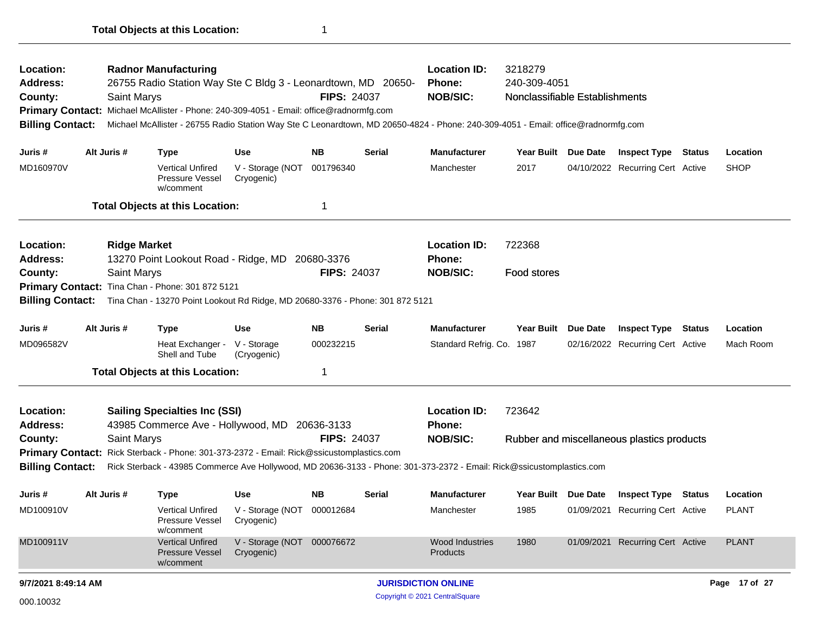| Location:<br>Address:<br>County:<br><b>Billing Contact:</b><br>Juris #                 | Alt Juris # | <b>Radnor Manufacturing</b><br>26755 Radio Station Way Ste C Bldg 3 - Leonardtown, MD 20650-<br><b>Saint Marys</b><br>Primary Contact: Michael McAllister - Phone: 240-309-4051 - Email: office@radnormfg.com<br>Michael McAllister - 26755 Radio Station Way Ste C Leonardtown, MD 20650-4824 - Phone: 240-309-4051 - Email: office@radnormfg.com<br><b>Type</b> | <b>Use</b>                                             | <b>FIPS: 24037</b><br><b>NB</b>                         | Serial                                                  | <b>Location ID:</b><br><b>Phone:</b><br><b>NOB/SIC:</b><br><b>Manufacturer</b> | 3218279<br>240-309-4051<br>Nonclassifiable Establishments<br>Year Built Due Date |          | <b>Inspect Type</b>                                            | <b>Status</b> | Location                 |
|----------------------------------------------------------------------------------------|-------------|-------------------------------------------------------------------------------------------------------------------------------------------------------------------------------------------------------------------------------------------------------------------------------------------------------------------------------------------------------------------|--------------------------------------------------------|---------------------------------------------------------|---------------------------------------------------------|--------------------------------------------------------------------------------|----------------------------------------------------------------------------------|----------|----------------------------------------------------------------|---------------|--------------------------|
| MD160970V                                                                              |             | <b>Vertical Unfired</b><br>Pressure Vessel<br>w/comment                                                                                                                                                                                                                                                                                                           | V - Storage (NOT<br>Cryogenic)                         | 001796340                                               |                                                         | Manchester                                                                     | 2017                                                                             |          | 04/10/2022 Recurring Cert Active                               |               | <b>SHOP</b>              |
|                                                                                        |             | <b>Total Objects at this Location:</b>                                                                                                                                                                                                                                                                                                                            |                                                        | 1                                                       |                                                         |                                                                                |                                                                                  |          |                                                                |               |                          |
| Location:<br>Address:<br>County:<br><b>Primary Contact:</b><br><b>Billing Contact:</b> |             | <b>Ridge Market</b><br>13270 Point Lookout Road - Ridge, MD 20680-3376<br>Saint Marys<br>Tina Chan - Phone: 301 872 5121<br>Tina Chan - 13270 Point Lookout Rd Ridge, MD 20680-3376 - Phone: 301 872 5121                                                                                                                                                         |                                                        | <b>FIPS: 24037</b>                                      | <b>Location ID:</b><br><b>Phone:</b><br><b>NOB/SIC:</b> | 722368<br>Food stores                                                          |                                                                                  |          |                                                                |               |                          |
| Juris #<br>MD096582V                                                                   | Alt Juris # | <b>Type</b><br>Heat Exchanger -<br>Shell and Tube<br><b>Total Objects at this Location:</b>                                                                                                                                                                                                                                                                       | <b>Use</b><br>V - Storage<br>(Cryogenic)               | NB.<br>000232215<br>1                                   | Serial                                                  | <b>Manufacturer</b><br>Standard Refrig. Co. 1987                               | <b>Year Built</b>                                                                | Due Date | <b>Inspect Type Status</b><br>02/16/2022 Recurring Cert Active |               | Location<br>Mach Room    |
| Location:<br><b>Address:</b><br>County:<br><b>Billing Contact:</b>                     |             | <b>Sailing Specialties Inc (SSI)</b><br>43985 Commerce Ave - Hollywood, MD<br><b>Saint Marys</b><br>Primary Contact: Rick Sterback - Phone: 301-373-2372 - Email: Rick@ssicustomplastics.com<br>Rick Sterback - 43985 Commerce Ave Hollywood, MD 20636-3133 - Phone: 301-373-2372 - Email: Rick@ssicustomplastics.com                                             | <b>FIPS: 24037</b>                                     | <b>Location ID:</b><br><b>Phone:</b><br><b>NOB/SIC:</b> | 723642                                                  |                                                                                | Rubber and miscellaneous plastics products                                       |          |                                                                |               |                          |
| Juris #<br>MD100910V                                                                   | Alt Juris # | Type<br>Vertical Unfired<br>Pressure Vessel<br>w/comment                                                                                                                                                                                                                                                                                                          | <b>Use</b><br>V - Storage (NOT 000012684<br>Cryogenic) | <b>NB</b>                                               | <b>Serial</b>                                           | <b>Manufacturer</b><br>Manchester                                              | Year Built Due Date<br>1985                                                      |          | <b>Inspect Type Status</b><br>01/09/2021 Recurring Cert Active |               | Location<br><b>PLANT</b> |
| MD100911V                                                                              |             | <b>Vertical Unfired</b><br><b>Pressure Vessel</b><br>w/comment                                                                                                                                                                                                                                                                                                    | V - Storage (NOT 000076672<br>Cryogenic)               |                                                         |                                                         | Wood Industries<br>Products                                                    | 1980                                                                             |          | 01/09/2021 Recurring Cert Active                               |               | <b>PLANT</b>             |
| 9/7/2021 8:49:14 AM                                                                    |             |                                                                                                                                                                                                                                                                                                                                                                   |                                                        |                                                         |                                                         | <b>JURISDICTION ONLINE</b>                                                     |                                                                                  |          |                                                                |               | Page 17 of 27            |
| 000.10032                                                                              |             |                                                                                                                                                                                                                                                                                                                                                                   |                                                        |                                                         |                                                         | Copyright © 2021 CentralSquare                                                 |                                                                                  |          |                                                                |               |                          |

**Total Objects at this Location:** 1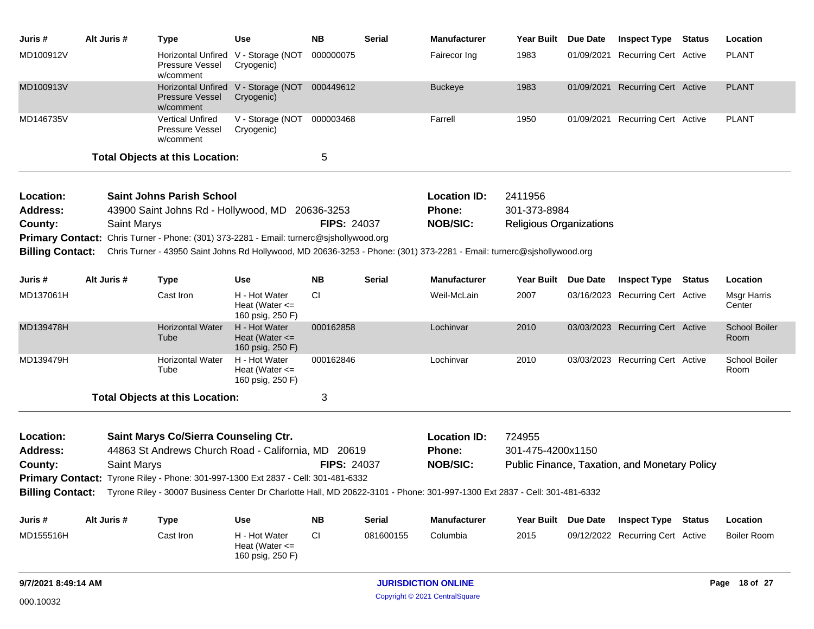| Juris #                 | Alt Juris # | <b>Type</b>                                                                                                                                | Use                                                         | <b>NB</b>          | Serial        | <b>Manufacturer</b> | Year Built                     | Due Date | <b>Inspect Type Status</b>                    | Location                     |
|-------------------------|-------------|--------------------------------------------------------------------------------------------------------------------------------------------|-------------------------------------------------------------|--------------------|---------------|---------------------|--------------------------------|----------|-----------------------------------------------|------------------------------|
| MD100912V               |             | Pressure Vessel<br>w/comment                                                                                                               | Horizontal Unfired V - Storage (NOT<br>Cryogenic)           | 000000075          |               | Fairecor Ing        | 1983                           |          | 01/09/2021 Recurring Cert Active              | <b>PLANT</b>                 |
| MD100913V               |             | <b>Pressure Vessel</b><br>w/comment                                                                                                        | Horizontal Unfired V - Storage (NOT 000449612<br>Cryogenic) |                    |               | <b>Buckeye</b>      | 1983                           |          | 01/09/2021 Recurring Cert Active              | <b>PLANT</b>                 |
| MD146735V               |             | Vertical Unfired<br>Pressure Vessel<br>w/comment                                                                                           | V - Storage (NOT<br>Cryogenic)                              | 000003468          |               | Farrell             | 1950                           |          | 01/09/2021 Recurring Cert Active              | <b>PLANT</b>                 |
|                         |             | <b>Total Objects at this Location:</b>                                                                                                     |                                                             | 5                  |               |                     |                                |          |                                               |                              |
| Location:               |             | <b>Saint Johns Parish School</b>                                                                                                           |                                                             |                    |               | <b>Location ID:</b> | 2411956                        |          |                                               |                              |
| <b>Address:</b>         |             | 43900 Saint Johns Rd - Hollywood, MD 20636-3253                                                                                            |                                                             |                    |               | <b>Phone:</b>       | 301-373-8984                   |          |                                               |                              |
| County:                 |             | <b>Saint Marys</b>                                                                                                                         |                                                             | <b>FIPS: 24037</b> |               | <b>NOB/SIC:</b>     | <b>Religious Organizations</b> |          |                                               |                              |
|                         |             | Primary Contact: Chris Turner - Phone: (301) 373-2281 - Email: turnerc@sjshollywood.org                                                    |                                                             |                    |               |                     |                                |          |                                               |                              |
| <b>Billing Contact:</b> |             | Chris Turner - 43950 Saint Johns Rd Hollywood, MD 20636-3253 - Phone: (301) 373-2281 - Email: turnerc@sjshollywood.org                     |                                                             |                    |               |                     |                                |          |                                               |                              |
| Juris #                 | Alt Juris # | <b>Type</b>                                                                                                                                | Use                                                         | <b>NB</b>          | <b>Serial</b> | <b>Manufacturer</b> | Year Built                     | Due Date | <b>Inspect Type Status</b>                    | Location                     |
| MD137061H               |             | Cast Iron                                                                                                                                  | H - Hot Water<br>Heat (Water $\leq$<br>160 psig, 250 F)     | <b>CI</b>          |               | Weil-McLain         | 2007                           |          | 03/16/2023 Recurring Cert Active              | Msgr Harris<br>Center        |
| MD139478H               |             | <b>Horizontal Water</b><br>Tube                                                                                                            | H - Hot Water<br>Heat (Water $\leq$<br>160 psig, 250 F)     | 000162858          |               | Lochinvar           | 2010                           |          | 03/03/2023 Recurring Cert Active              | <b>School Boiler</b><br>Room |
| MD139479H               |             | <b>Horizontal Water</b><br>Tube                                                                                                            | H - Hot Water<br>Heat (Water $\leq$<br>160 psig, 250 F)     | 000162846          |               | Lochinvar           | 2010                           |          | 03/03/2023 Recurring Cert Active              | School Boiler<br>Room        |
|                         |             | <b>Total Objects at this Location:</b>                                                                                                     |                                                             | 3                  |               |                     |                                |          |                                               |                              |
| Location:               |             | Saint Marys Co/Sierra Counseling Ctr.                                                                                                      |                                                             |                    |               | <b>Location ID:</b> | 724955                         |          |                                               |                              |
| <b>Address:</b>         |             | 44863 St Andrews Church Road - California, MD 20619                                                                                        |                                                             |                    |               | <b>Phone:</b>       | 301-475-4200x1150              |          |                                               |                              |
| County:                 |             | <b>Saint Marys</b>                                                                                                                         |                                                             | <b>FIPS: 24037</b> |               | <b>NOB/SIC:</b>     |                                |          | Public Finance, Taxation, and Monetary Policy |                              |
|                         |             | Primary Contact: Tyrone Riley - Phone: 301-997-1300 Ext 2837 - Cell: 301-481-6332                                                          |                                                             |                    |               |                     |                                |          |                                               |                              |
|                         |             | Billing Contact: Tyrone Riley - 30007 Business Center Dr Charlotte Hall, MD 20622-3101 - Phone: 301-997-1300 Ext 2837 - Cell: 301-481-6332 |                                                             |                    |               |                     |                                |          |                                               |                              |
| Juris #                 | Alt Juris # | <b>Type</b>                                                                                                                                | <b>Use</b>                                                  | <b>NB</b>          | <b>Serial</b> | Manufacturer        | Year Built Due Date            |          | <b>Inspect Type Status</b>                    | Location                     |
| MD155516H               |             | Cast Iron                                                                                                                                  | H - Hot Water<br>Heat (Water $\leq$<br>160 psig, 250 F)     | <b>CI</b>          | 081600155     | Columbia            | 2015                           |          | 09/12/2022 Recurring Cert Active              | <b>Boiler Room</b>           |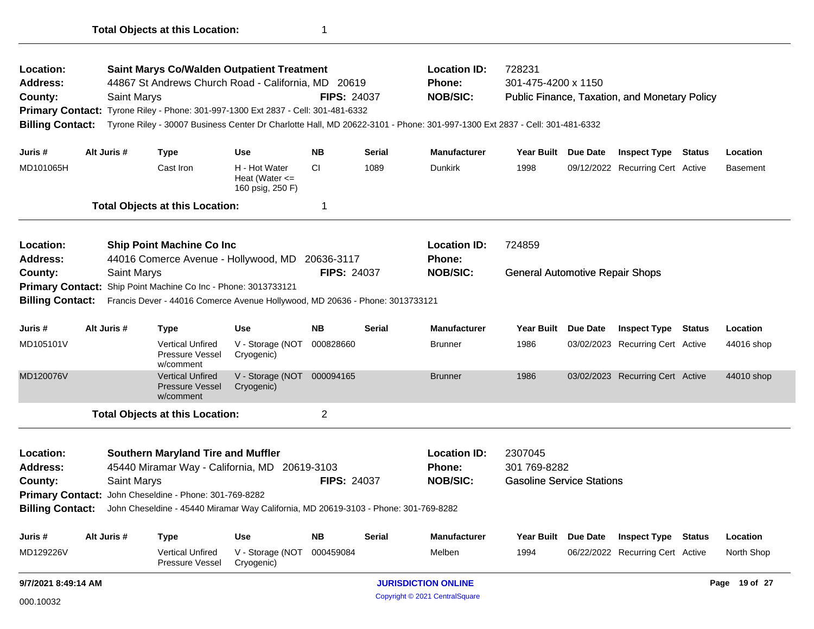| Address:<br>County:                                                                                            |                                                                                                                                                | Saint Marys                                                            | 44867 St Andrews Church Road - California, MD 20619                               |                                                         | <b>FIPS: 24037</b>  |                     | <b>Phone:</b><br><b>NOB/SIC:</b>                                                                                          | 301-475-4200 x 1150                    |                     | Public Finance, Taxation, and Monetary Policy |          |               |
|----------------------------------------------------------------------------------------------------------------|------------------------------------------------------------------------------------------------------------------------------------------------|------------------------------------------------------------------------|-----------------------------------------------------------------------------------|---------------------------------------------------------|---------------------|---------------------|---------------------------------------------------------------------------------------------------------------------------|----------------------------------------|---------------------|-----------------------------------------------|----------|---------------|
|                                                                                                                |                                                                                                                                                |                                                                        | Primary Contact: Tyrone Riley - Phone: 301-997-1300 Ext 2837 - Cell: 301-481-6332 |                                                         |                     |                     |                                                                                                                           |                                        |                     |                                               |          |               |
| <b>Billing Contact:</b>                                                                                        |                                                                                                                                                |                                                                        |                                                                                   |                                                         |                     |                     | Tyrone Riley - 30007 Business Center Dr Charlotte Hall, MD 20622-3101 - Phone: 301-997-1300 Ext 2837 - Cell: 301-481-6332 |                                        |                     |                                               |          |               |
| Juris #                                                                                                        |                                                                                                                                                | Alt Juris #                                                            | <b>Type</b>                                                                       | <b>Use</b>                                              | <b>NB</b>           | <b>Serial</b>       | <b>Manufacturer</b>                                                                                                       | Year Built Due Date                    |                     | <b>Inspect Type Status</b>                    |          | Location      |
| MD101065H                                                                                                      |                                                                                                                                                |                                                                        | Cast Iron                                                                         | H - Hot Water<br>Heat (Water $\leq$<br>160 psig, 250 F) | <b>CI</b>           | 1089                | <b>Dunkirk</b>                                                                                                            | 1998                                   |                     | 09/12/2022 Recurring Cert Active              |          | Basement      |
|                                                                                                                |                                                                                                                                                |                                                                        | <b>Total Objects at this Location:</b>                                            |                                                         | 1                   |                     |                                                                                                                           |                                        |                     |                                               |          |               |
| Location:                                                                                                      |                                                                                                                                                |                                                                        | <b>Ship Point Machine Co Inc</b>                                                  |                                                         |                     |                     | <b>Location ID:</b>                                                                                                       | 724859                                 |                     |                                               |          |               |
| Address:                                                                                                       |                                                                                                                                                |                                                                        | 44016 Comerce Avenue - Hollywood, MD 20636-3117                                   |                                                         |                     |                     | <b>Phone:</b>                                                                                                             |                                        |                     |                                               |          |               |
| County:                                                                                                        |                                                                                                                                                | Saint Marys                                                            |                                                                                   |                                                         | <b>FIPS: 24037</b>  |                     | <b>NOB/SIC:</b>                                                                                                           | <b>General Automotive Repair Shops</b> |                     |                                               |          |               |
|                                                                                                                | Primary Contact: Ship Point Machine Co Inc - Phone: 3013733121<br>Francis Dever - 44016 Comerce Avenue Hollywood, MD 20636 - Phone: 3013733121 |                                                                        |                                                                                   |                                                         |                     |                     |                                                                                                                           |                                        |                     |                                               |          |               |
| <b>Billing Contact:</b>                                                                                        |                                                                                                                                                |                                                                        |                                                                                   |                                                         |                     |                     |                                                                                                                           |                                        |                     |                                               |          |               |
| Juris #                                                                                                        | Alt Juris #<br><b>Type</b>                                                                                                                     |                                                                        | <b>Use</b>                                                                        | <b>NB</b>                                               | <b>Serial</b>       | <b>Manufacturer</b> | <b>Year Built</b>                                                                                                         | Due Date                               | <b>Inspect Type</b> | <b>Status</b>                                 | Location |               |
| MD105101V                                                                                                      |                                                                                                                                                |                                                                        | <b>Vertical Unfired</b><br>Pressure Vessel<br>w/comment                           | V - Storage (NOT<br>Cryogenic)                          | 000828660           |                     | <b>Brunner</b>                                                                                                            | 1986                                   |                     | 03/02/2023 Recurring Cert Active              |          | 44016 shop    |
| MD120076V                                                                                                      |                                                                                                                                                |                                                                        | <b>Vertical Unfired</b><br><b>Pressure Vessel</b><br>w/comment                    | V - Storage (NOT<br>Cryogenic)                          | 000094165           |                     | <b>Brunner</b>                                                                                                            | 1986                                   |                     | 03/02/2023 Recurring Cert Active              |          | 44010 shop    |
|                                                                                                                |                                                                                                                                                |                                                                        | <b>Total Objects at this Location:</b>                                            |                                                         | $\overline{c}$      |                     |                                                                                                                           |                                        |                     |                                               |          |               |
| <b>Location:</b>                                                                                               |                                                                                                                                                |                                                                        | <b>Southern Maryland Tire and Muffler</b>                                         |                                                         |                     |                     | <b>Location ID:</b>                                                                                                       | 2307045                                |                     |                                               |          |               |
| Address:                                                                                                       |                                                                                                                                                |                                                                        | 45440 Miramar Way - California, MD 20619-3103                                     |                                                         |                     |                     | Phone:                                                                                                                    | 301 769-8282                           |                     |                                               |          |               |
| County:                                                                                                        |                                                                                                                                                | Saint Marys                                                            |                                                                                   |                                                         | <b>FIPS: 24037</b>  |                     | <b>NOB/SIC:</b>                                                                                                           | <b>Gasoline Service Stations</b>       |                     |                                               |          |               |
|                                                                                                                |                                                                                                                                                |                                                                        | Primary Contact: John Cheseldine - Phone: 301-769-8282                            |                                                         |                     |                     |                                                                                                                           |                                        |                     |                                               |          |               |
| <b>Billing Contact:</b><br>John Cheseldine - 45440 Miramar Way California, MD 20619-3103 - Phone: 301-769-8282 |                                                                                                                                                |                                                                        |                                                                                   |                                                         |                     |                     |                                                                                                                           |                                        |                     |                                               |          |               |
| Juris #                                                                                                        |                                                                                                                                                | <b>NB</b><br>Alt Juris #<br><b>Serial</b><br><b>Type</b><br><b>Use</b> |                                                                                   |                                                         | <b>Manufacturer</b> | <b>Year Built</b>   | <b>Due Date</b>                                                                                                           | <b>Inspect Type</b>                    | <b>Status</b>       | Location                                      |          |               |
| MD129226V                                                                                                      |                                                                                                                                                |                                                                        | <b>Vertical Unfired</b><br>Pressure Vessel                                        | V - Storage (NOT<br>Cryogenic)                          | 000459084           |                     | Melben                                                                                                                    | 1994                                   |                     | 06/22/2022 Recurring Cert Active              |          | North Shop    |
| 9/7/2021 8:49:14 AM                                                                                            |                                                                                                                                                |                                                                        |                                                                                   |                                                         |                     |                     | <b>JURISDICTION ONLINE</b>                                                                                                |                                        |                     |                                               |          | Page 19 of 27 |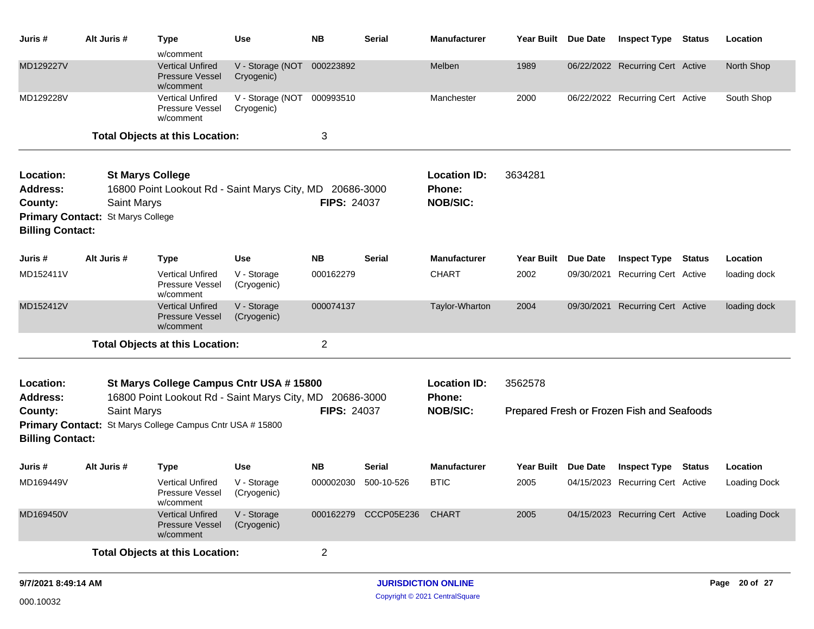| Juris #                                 | Alt Juris #                                             | <b>Type</b>                                                                                          | <b>Use</b>                     | <b>NB</b>          | <b>Serial</b>        | <b>Manufacturer</b>                              | Year Built Due Date |                 | <b>Inspect Type</b>                        | <b>Status</b> | Location            |
|-----------------------------------------|---------------------------------------------------------|------------------------------------------------------------------------------------------------------|--------------------------------|--------------------|----------------------|--------------------------------------------------|---------------------|-----------------|--------------------------------------------|---------------|---------------------|
| MD129227V                               |                                                         | w/comment<br><b>Vertical Unfired</b><br><b>Pressure Vessel</b><br>w/comment                          | V - Storage (NOT<br>Cryogenic) | 000223892          |                      | Melben                                           | 1989                |                 | 06/22/2022 Recurring Cert Active           |               | North Shop          |
| MD129228V                               |                                                         | <b>Vertical Unfired</b><br>Pressure Vessel<br>w/comment                                              | V - Storage (NOT<br>Cryogenic) | 000993510          |                      | Manchester                                       | 2000                |                 | 06/22/2022 Recurring Cert Active           |               | South Shop          |
|                                         |                                                         | <b>Total Objects at this Location:</b>                                                               |                                | 3                  |                      |                                                  |                     |                 |                                            |               |                     |
| Location:<br><b>Address:</b><br>County: | Saint Marys<br><b>Primary Contact: St Marys College</b> | <b>St Marys College</b><br>16800 Point Lookout Rd - Saint Marys City, MD 20686-3000                  |                                | <b>FIPS: 24037</b> |                      | <b>Location ID:</b><br>Phone:<br><b>NOB/SIC:</b> | 3634281             |                 |                                            |               |                     |
| <b>Billing Contact:</b>                 |                                                         |                                                                                                      |                                |                    |                      |                                                  |                     |                 |                                            |               |                     |
| Juris #                                 | Alt Juris #                                             | <b>Type</b>                                                                                          | <b>Use</b>                     | <b>NB</b>          | <b>Serial</b>        | <b>Manufacturer</b>                              | Year Built          | <b>Due Date</b> | <b>Inspect Type Status</b>                 |               | Location            |
| MD152411V                               |                                                         | <b>Vertical Unfired</b><br>Pressure Vessel<br>w/comment                                              | V - Storage<br>(Cryogenic)     | 000162279          |                      | <b>CHART</b>                                     | 2002                | 09/30/2021      | <b>Recurring Cert Active</b>               |               | loading dock        |
| MD152412V                               |                                                         | <b>Vertical Unfired</b><br>Pressure Vessel<br>w/comment                                              | V - Storage<br>(Cryogenic)     | 000074137          |                      | Taylor-Wharton                                   | 2004                | 09/30/2021      | <b>Recurring Cert Active</b>               |               | loading dock        |
|                                         |                                                         | <b>Total Objects at this Location:</b>                                                               |                                | $\overline{c}$     |                      |                                                  |                     |                 |                                            |               |                     |
| Location:<br><b>Address:</b>            |                                                         | St Marys College Campus Cntr USA # 15800<br>16800 Point Lookout Rd - Saint Marys City, MD 20686-3000 |                                |                    |                      | <b>Location ID:</b><br><b>Phone:</b>             | 3562578             |                 |                                            |               |                     |
| County:<br><b>Primary Contact:</b>      | Saint Marys                                             | St Marys College Campus Cntr USA # 15800                                                             |                                | <b>FIPS: 24037</b> |                      | <b>NOB/SIC:</b>                                  |                     |                 | Prepared Fresh or Frozen Fish and Seafoods |               |                     |
| <b>Billing Contact:</b>                 |                                                         |                                                                                                      |                                |                    |                      |                                                  |                     |                 |                                            |               |                     |
| Juris #                                 | Alt Juris #                                             | <b>Type</b>                                                                                          | <b>Use</b>                     | <b>NB</b>          | Serial               | <b>Manufacturer</b>                              | <b>Year Built</b>   | Due Date        | <b>Inspect Type</b>                        | <b>Status</b> | Location            |
| MD169449V                               |                                                         | Vertical Unfired<br>Pressure Vessel<br>w/comment                                                     | V - Storage<br>(Cryogenic)     | 000002030          | 500-10-526           | <b>BTIC</b>                                      | 2005                |                 | 04/15/2023 Recurring Cert Active           |               | <b>Loading Dock</b> |
| MD169450V                               |                                                         | <b>Vertical Unfired</b><br><b>Pressure Vessel</b><br>w/comment                                       | V - Storage<br>(Cryogenic)     |                    | 000162279 CCCP05E236 | <b>CHART</b>                                     | 2005                |                 | 04/15/2023 Recurring Cert Active           |               | <b>Loading Dock</b> |
|                                         |                                                         | <b>Total Objects at this Location:</b>                                                               |                                | $\overline{c}$     |                      |                                                  |                     |                 |                                            |               |                     |
| 9/7/2021 8:49:14 AM                     |                                                         |                                                                                                      |                                |                    |                      | <b>JURISDICTION ONLINE</b>                       |                     |                 |                                            |               | Page 20 of 27       |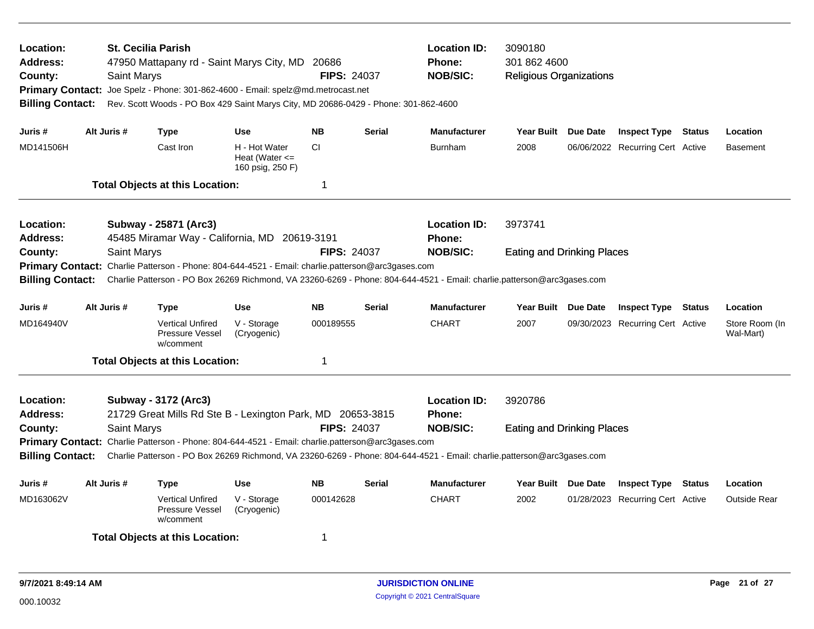| Location:<br><b>Address:</b><br>County:<br><b>Billing Contact:</b>                | <b>Saint Marys</b>                                                     | <b>St. Cecilia Parish</b><br>47950 Mattapany rd - Saint Marys City, MD 20686<br>Primary Contact: Joe Spelz - Phone: 301-862-4600 - Email: spelz@md.metrocast.net<br>Rev. Scott Woods - PO Box 429 Saint Marys City, MD 20686-0429 - Phone: 301-862-4600 |                                                         | <b>FIPS: 24037</b> |               | <b>Location ID:</b><br><b>Phone:</b><br><b>NOB/SIC:</b>                                                                                    | 3090180<br>301 862 4600<br><b>Religious Organizations</b> |                                  |               |                             |
|-----------------------------------------------------------------------------------|------------------------------------------------------------------------|---------------------------------------------------------------------------------------------------------------------------------------------------------------------------------------------------------------------------------------------------------|---------------------------------------------------------|--------------------|---------------|--------------------------------------------------------------------------------------------------------------------------------------------|-----------------------------------------------------------|----------------------------------|---------------|-----------------------------|
| Juris #                                                                           | Alt Juris #                                                            | <b>Type</b>                                                                                                                                                                                                                                             | Use                                                     | <b>NB</b>          | <b>Serial</b> | Manufacturer                                                                                                                               | Year Built Due Date                                       | <b>Inspect Type Status</b>       |               | Location                    |
| MD141506H                                                                         |                                                                        | Cast Iron                                                                                                                                                                                                                                               | H - Hot Water<br>Heat (Water $\leq$<br>160 psig, 250 F) | CI.                |               | <b>Burnham</b>                                                                                                                             | 2008                                                      | 06/06/2022 Recurring Cert Active |               | <b>Basement</b>             |
|                                                                                   |                                                                        | <b>Total Objects at this Location:</b>                                                                                                                                                                                                                  |                                                         | 1                  |               |                                                                                                                                            |                                                           |                                  |               |                             |
| Location:<br><b>Address:</b>                                                      |                                                                        | Subway - 25871 (Arc3)<br>45485 Miramar Way - California, MD 20619-3191                                                                                                                                                                                  |                                                         |                    |               | <b>Location ID:</b><br><b>Phone:</b>                                                                                                       | 3973741                                                   |                                  |               |                             |
| County:<br><b>Billing Contact:</b>                                                | <b>Saint Marys</b>                                                     | Primary Contact: Charlie Patterson - Phone: 804-644-4521 - Email: charlie.patterson@arc3gases.com                                                                                                                                                       |                                                         | <b>FIPS: 24037</b> |               | <b>NOB/SIC:</b><br>Charlie Patterson - PO Box 26269 Richmond, VA 23260-6269 - Phone: 804-644-4521 - Email: charlie.patterson@arc3gases.com | <b>Eating and Drinking Places</b>                         |                                  |               |                             |
| Alt Juris #<br><b>Use</b><br><b>NB</b><br><b>Serial</b><br>Juris #<br><b>Type</b> |                                                                        |                                                                                                                                                                                                                                                         |                                                         |                    |               | <b>Manufacturer</b>                                                                                                                        | Year Built Due Date                                       | <b>Inspect Type Status</b>       |               | Location                    |
| MD164940V                                                                         |                                                                        | <b>Vertical Unfired</b><br>Pressure Vessel<br>w/comment                                                                                                                                                                                                 | V - Storage<br>(Cryogenic)                              | 000189555          |               | <b>CHART</b>                                                                                                                               | 2007                                                      | 09/30/2023 Recurring Cert Active |               | Store Room (In<br>Wal-Mart) |
|                                                                                   |                                                                        | <b>Total Objects at this Location:</b>                                                                                                                                                                                                                  |                                                         | 1                  |               |                                                                                                                                            |                                                           |                                  |               |                             |
| Location:<br><b>Address:</b>                                                      |                                                                        | Subway - 3172 (Arc3)<br>21729 Great Mills Rd Ste B - Lexington Park, MD 20653-3815                                                                                                                                                                      |                                                         |                    |               | <b>Location ID:</b><br><b>Phone:</b>                                                                                                       | 3920786                                                   |                                  |               |                             |
| County:                                                                           | <b>Saint Marys</b>                                                     |                                                                                                                                                                                                                                                         |                                                         | <b>FIPS: 24037</b> |               | <b>NOB/SIC:</b>                                                                                                                            | <b>Eating and Drinking Places</b>                         |                                  |               |                             |
| <b>Billing Contact:</b>                                                           |                                                                        | Primary Contact: Charlie Patterson - Phone: 804-644-4521 - Email: charlie.patterson@arc3gases.com                                                                                                                                                       |                                                         |                    |               | Charlie Patterson - PO Box 26269 Richmond, VA 23260-6269 - Phone: 804-644-4521 - Email: charlie.patterson@arc3gases.com                    |                                                           |                                  |               |                             |
| Juris #                                                                           | Alt Juris #<br><b>NB</b><br><b>Serial</b><br><b>Type</b><br><b>Use</b> |                                                                                                                                                                                                                                                         |                                                         |                    |               | <b>Manufacturer</b>                                                                                                                        | Year Built Due Date                                       | <b>Inspect Type</b>              | <b>Status</b> | Location                    |
| MD163062V                                                                         |                                                                        | <b>Vertical Unfired</b><br>Pressure Vessel<br>w/comment                                                                                                                                                                                                 | V - Storage<br>(Cryogenic)                              | 000142628          |               | <b>CHART</b>                                                                                                                               | 2002                                                      | 01/28/2023 Recurring Cert Active |               | <b>Outside Rear</b>         |
|                                                                                   |                                                                        | <b>Total Objects at this Location:</b>                                                                                                                                                                                                                  |                                                         | 1                  |               |                                                                                                                                            |                                                           |                                  |               |                             |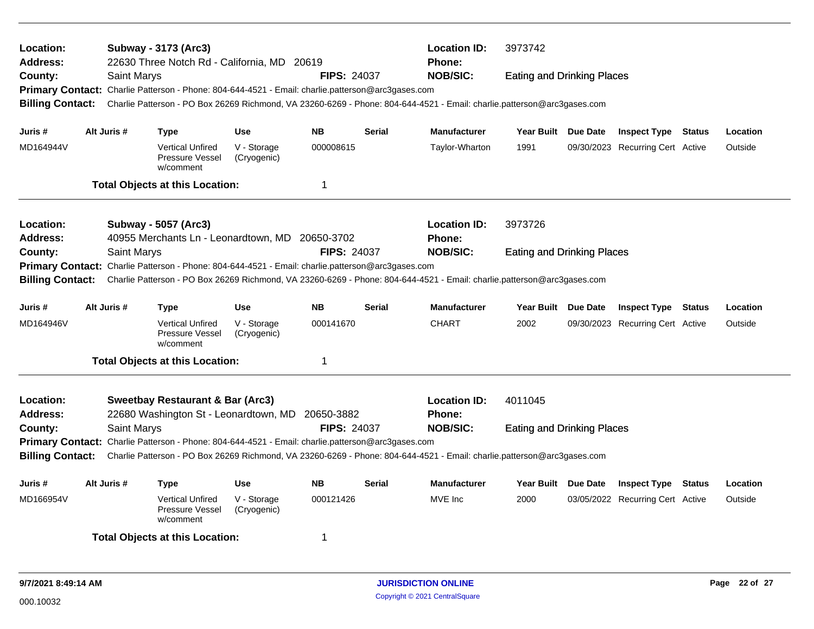| Location:<br><b>Address:</b><br>County:<br><b>Billing Contact:</b> | Saint Marys | Subway - 3173 (Arc3)<br>22630 Three Notch Rd - California, MD 20619<br>Primary Contact: Charlie Patterson - Phone: 804-644-4521 - Email: charlie.patterson@arc3gases.com |                                          | <b>FIPS: 24037</b>     |               | <b>Location ID:</b><br><b>Phone:</b><br><b>NOB/SIC:</b><br>Charlie Patterson - PO Box 26269 Richmond, VA 23260-6269 - Phone: 804-644-4521 - Email: charlie.patterson@arc3gases.com | 3973742<br><b>Eating and Drinking Places</b> |                                                                |        |                     |
|--------------------------------------------------------------------|-------------|--------------------------------------------------------------------------------------------------------------------------------------------------------------------------|------------------------------------------|------------------------|---------------|------------------------------------------------------------------------------------------------------------------------------------------------------------------------------------|----------------------------------------------|----------------------------------------------------------------|--------|---------------------|
|                                                                    |             |                                                                                                                                                                          |                                          |                        |               |                                                                                                                                                                                    |                                              |                                                                |        |                     |
| Juris #<br>MD164944V                                               | Alt Juris # | <b>Type</b><br><b>Vertical Unfired</b><br>Pressure Vessel<br>w/comment                                                                                                   | <b>Use</b><br>V - Storage<br>(Cryogenic) | <b>NB</b><br>000008615 | <b>Serial</b> | <b>Manufacturer</b><br>Taylor-Wharton                                                                                                                                              | Year Built Due Date<br>1991                  | <b>Inspect Type Status</b><br>09/30/2023 Recurring Cert Active |        | Location<br>Outside |
|                                                                    |             | <b>Total Objects at this Location:</b>                                                                                                                                   |                                          | $\mathbf 1$            |               |                                                                                                                                                                                    |                                              |                                                                |        |                     |
| <b>Location:</b><br><b>Address:</b>                                |             | Subway - 5057 (Arc3)<br>40955 Merchants Ln - Leonardtown, MD 20650-3702                                                                                                  |                                          |                        |               | <b>Location ID:</b><br><b>Phone:</b>                                                                                                                                               | 3973726                                      |                                                                |        |                     |
| County:<br><b>Primary Contact:</b><br><b>Billing Contact:</b>      | Saint Marys | Charlie Patterson - Phone: 804-644-4521 - Email: charlie.patterson@arc3gases.com                                                                                         |                                          | <b>FIPS: 24037</b>     |               | <b>NOB/SIC:</b><br>Charlie Patterson - PO Box 26269 Richmond, VA 23260-6269 - Phone: 804-644-4521 - Email: charlie.patterson@arc3gases.com                                         | <b>Eating and Drinking Places</b>            |                                                                |        |                     |
| Juris #                                                            | Alt Juris # | Type                                                                                                                                                                     | Use                                      | <b>NB</b>              | <b>Serial</b> | Manufacturer                                                                                                                                                                       | Year Built Due Date                          | <b>Inspect Type Status</b>                                     |        | Location            |
| MD164946V                                                          |             | <b>Vertical Unfired</b><br><b>Pressure Vessel</b><br>w/comment                                                                                                           | V - Storage<br>(Cryogenic)               | 000141670              |               | <b>CHART</b>                                                                                                                                                                       | 2002                                         | 09/30/2023 Recurring Cert Active                               |        | Outside             |
|                                                                    |             | <b>Total Objects at this Location:</b>                                                                                                                                   |                                          | -1                     |               |                                                                                                                                                                                    |                                              |                                                                |        |                     |
| <b>Location:</b><br><b>Address:</b>                                |             | <b>Sweetbay Restaurant &amp; Bar (Arc3)</b><br>22680 Washington St - Leonardtown, MD                                                                                     |                                          | 20650-3882             |               | <b>Location ID:</b><br>Phone:                                                                                                                                                      | 4011045                                      |                                                                |        |                     |
| County:                                                            | Saint Marys | Primary Contact: Charlie Patterson - Phone: 804-644-4521 - Email: charlie.patterson@arc3gases.com                                                                        |                                          | <b>FIPS: 24037</b>     |               | <b>NOB/SIC:</b>                                                                                                                                                                    | <b>Eating and Drinking Places</b>            |                                                                |        |                     |
| <b>Billing Contact:</b>                                            |             |                                                                                                                                                                          |                                          |                        |               | Charlie Patterson - PO Box 26269 Richmond, VA 23260-6269 - Phone: 804-644-4521 - Email: charlie.patterson@arc3gases.com                                                            |                                              |                                                                |        |                     |
| Juris #                                                            | Alt Juris # | Type                                                                                                                                                                     | <b>Use</b>                               | <b>NB</b>              | <b>Serial</b> | <b>Manufacturer</b>                                                                                                                                                                | Year Built Due Date                          | <b>Inspect Type</b>                                            | Status | Location            |
| MD166954V                                                          |             | <b>Vertical Unfired</b><br><b>Pressure Vessel</b><br>w/comment                                                                                                           | V - Storage<br>(Cryogenic)               | 000121426              |               | MVE Inc                                                                                                                                                                            | 2000                                         | 03/05/2022 Recurring Cert Active                               |        | Outside             |
|                                                                    |             | <b>Total Objects at this Location:</b>                                                                                                                                   |                                          | -1                     |               |                                                                                                                                                                                    |                                              |                                                                |        |                     |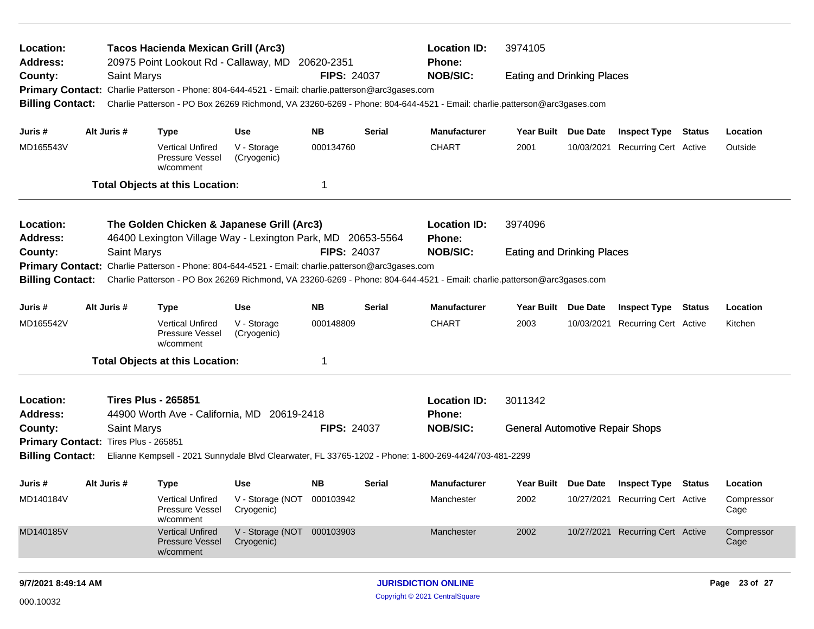| Location:<br><b>Address:</b><br>County:                         |                                                                                                                                                | Saint Marys | <b>Tacos Hacienda Mexican Grill (Arc3)</b><br>20975 Point Lookout Rd - Callaway, MD 20620-2351                                                                                                                               |                                          | <b>FIPS: 24037</b> |        | <b>Location ID:</b><br><b>Phone:</b><br><b>NOB/SIC:</b> | 3974105<br><b>Eating and Drinking Places</b> |                 |                                  |        |                    |
|-----------------------------------------------------------------|------------------------------------------------------------------------------------------------------------------------------------------------|-------------|------------------------------------------------------------------------------------------------------------------------------------------------------------------------------------------------------------------------------|------------------------------------------|--------------------|--------|---------------------------------------------------------|----------------------------------------------|-----------------|----------------------------------|--------|--------------------|
| <b>Billing Contact:</b>                                         |                                                                                                                                                |             | Primary Contact: Charlie Patterson - Phone: 804-644-4521 - Email: charlie.patterson@arc3gases.com<br>Charlie Patterson - PO Box 26269 Richmond, VA 23260-6269 - Phone: 804-644-4521 - Email: charlie.patterson@arc3gases.com |                                          |                    |        |                                                         |                                              |                 |                                  |        |                    |
| Juris #                                                         |                                                                                                                                                | Alt Juris # | Type                                                                                                                                                                                                                         | <b>Use</b>                               | <b>NB</b>          | Serial | <b>Manufacturer</b>                                     | Year Built Due Date                          |                 | <b>Inspect Type Status</b>       |        | Location           |
| MD165543V                                                       |                                                                                                                                                |             | <b>Vertical Unfired</b><br>Pressure Vessel<br>w/comment                                                                                                                                                                      | V - Storage<br>(Cryogenic)               | 000134760          |        | <b>CHART</b>                                            | 2001                                         | 10/03/2021      | Recurring Cert Active            |        | Outside            |
|                                                                 |                                                                                                                                                |             | <b>Total Objects at this Location:</b>                                                                                                                                                                                       |                                          | 1                  |        |                                                         |                                              |                 |                                  |        |                    |
| Location:<br>Address:                                           | The Golden Chicken & Japanese Grill (Arc3)<br>46400 Lexington Village Way - Lexington Park, MD 20653-5564<br>Saint Marys<br><b>FIPS: 24037</b> |             |                                                                                                                                                                                                                              |                                          |                    |        |                                                         | 3974096                                      |                 |                                  |        |                    |
| County:<br><b>Primary Contact:</b><br><b>Billing Contact:</b>   |                                                                                                                                                |             | Charlie Patterson - Phone: 804-644-4521 - Email: charlie.patterson@arc3gases.com<br>Charlie Patterson - PO Box 26269 Richmond, VA 23260-6269 - Phone: 804-644-4521 - Email: charlie.patterson@arc3gases.com                  |                                          |                    |        | <b>NOB/SIC:</b>                                         | <b>Eating and Drinking Places</b>            |                 |                                  |        |                    |
| Juris #                                                         |                                                                                                                                                | Alt Juris # | <b>Type</b>                                                                                                                                                                                                                  | <b>Use</b>                               | NB.                | Serial | <b>Manufacturer</b>                                     | Year Built                                   | <b>Due Date</b> | <b>Inspect Type</b>              | Status | Location           |
| MD165542V                                                       |                                                                                                                                                |             | <b>Vertical Unfired</b><br>Pressure Vessel<br>w/comment                                                                                                                                                                      | V - Storage<br>(Cryogenic)               | 000148809          |        | CHART                                                   | 2003                                         |                 | 10/03/2021 Recurring Cert Active |        | Kitchen            |
|                                                                 |                                                                                                                                                |             | <b>Total Objects at this Location:</b>                                                                                                                                                                                       |                                          | 1                  |        |                                                         |                                              |                 |                                  |        |                    |
| Location:<br><b>Address:</b>                                    |                                                                                                                                                |             | <b>Tires Plus - 265851</b><br>44900 Worth Ave - California, MD 20619-2418                                                                                                                                                    |                                          |                    |        | <b>Location ID:</b><br><b>Phone:</b>                    | 3011342                                      |                 |                                  |        |                    |
| County:                                                         |                                                                                                                                                | Saint Marys |                                                                                                                                                                                                                              |                                          | <b>FIPS: 24037</b> |        | <b>NOB/SIC:</b>                                         | <b>General Automotive Repair Shops</b>       |                 |                                  |        |                    |
| Primary Contact: Tires Plus - 265851<br><b>Billing Contact:</b> |                                                                                                                                                |             | Elianne Kempsell - 2021 Sunnydale Blvd Clearwater, FL 33765-1202 - Phone: 1-800-269-4424/703-481-2299                                                                                                                        |                                          |                    |        |                                                         |                                              |                 |                                  |        |                    |
| Juris #                                                         |                                                                                                                                                | Alt Juris # | <b>Type</b>                                                                                                                                                                                                                  | <b>Use</b>                               | <b>NB</b>          | Serial | <b>Manufacturer</b>                                     | Year Built Due Date                          |                 | Inspect Type                     | Status | Location           |
| MD140184V                                                       |                                                                                                                                                |             | Vertical Unfired<br>Pressure Vessel<br>w/comment                                                                                                                                                                             | V - Storage (NOT 000103942<br>Cryogenic) |                    |        | Manchester                                              | 2002                                         |                 | 10/27/2021 Recurring Cert Active |        | Compressor<br>Cage |
| MD140185V                                                       | <b>Vertical Unfired</b><br>V - Storage (NOT 000103903<br><b>Pressure Vessel</b><br>Cryogenic)<br>w/comment                                     |             |                                                                                                                                                                                                                              |                                          | Manchester         | 2002   |                                                         | 10/27/2021 Recurring Cert Active             |                 | Compressor<br>Cage               |        |                    |
|                                                                 |                                                                                                                                                |             |                                                                                                                                                                                                                              |                                          |                    |        |                                                         |                                              |                 |                                  |        |                    |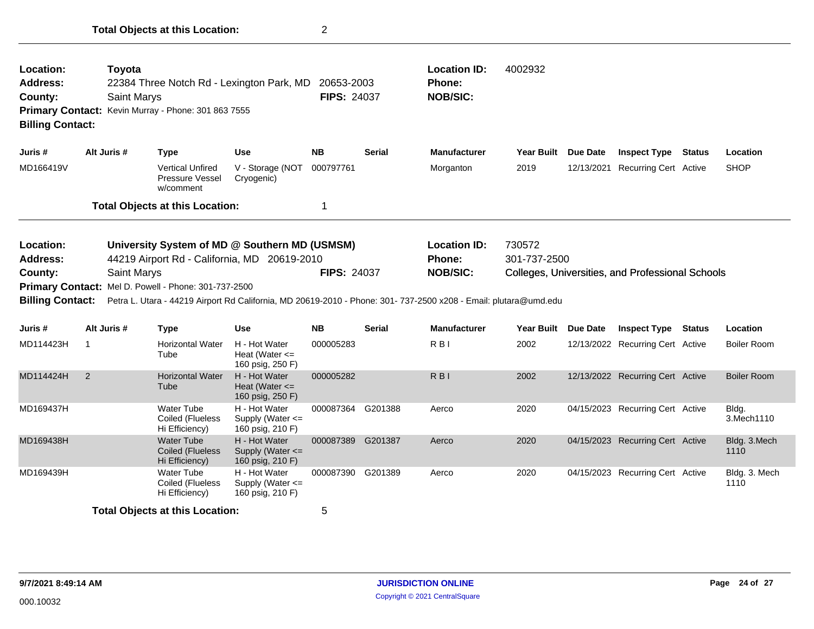| Location:<br><b>Address:</b><br>County:<br><b>Primary Contact:</b><br><b>Billing Contact:</b> | Toyota<br><b>Saint Marys</b> | 22384 Three Notch Rd - Lexington Park, MD<br>Kevin Murray - Phone: 301 863 7555                                                                       |                                                           | 20653-2003<br><b>FIPS: 24037</b> |               | <b>Location ID:</b><br>Phone:<br><b>NOB/SIC:</b>                                                                                                                     | 4002932                |                 |                                                  |        |                       |
|-----------------------------------------------------------------------------------------------|------------------------------|-------------------------------------------------------------------------------------------------------------------------------------------------------|-----------------------------------------------------------|----------------------------------|---------------|----------------------------------------------------------------------------------------------------------------------------------------------------------------------|------------------------|-----------------|--------------------------------------------------|--------|-----------------------|
| Juris #                                                                                       | Alt Juris #                  | <b>Type</b>                                                                                                                                           | <b>Use</b>                                                | <b>NB</b>                        | <b>Serial</b> | <b>Manufacturer</b>                                                                                                                                                  | <b>Year Built</b>      | <b>Due Date</b> | <b>Inspect Type</b>                              | Status | Location              |
| MD166419V                                                                                     |                              | <b>Vertical Unfired</b><br><b>Pressure Vessel</b><br>w/comment                                                                                        | V - Storage (NOT<br>Cryogenic)                            | 000797761                        |               | Morganton                                                                                                                                                            | 2019                   | 12/13/2021      | <b>Recurring Cert Active</b>                     |        | <b>SHOP</b>           |
|                                                                                               |                              | <b>Total Objects at this Location:</b>                                                                                                                |                                                           | 1                                |               |                                                                                                                                                                      |                        |                 |                                                  |        |                       |
| Location:<br><b>Address:</b><br>County:<br><b>Billing Contact:</b>                            | Saint Marys                  | University System of MD @ Southern MD (USMSM)<br>44219 Airport Rd - California, MD 20619-2010<br>Primary Contact: Mel D. Powell - Phone: 301-737-2500 |                                                           | <b>FIPS: 24037</b>               |               | <b>Location ID:</b><br>Phone:<br><b>NOB/SIC:</b><br>Petra L. Utara - 44219 Airport Rd California, MD 20619-2010 - Phone: 301- 737-2500 x208 - Email: plutara@umd.edu | 730572<br>301-737-2500 |                 | Colleges, Universities, and Professional Schools |        |                       |
| Juris #                                                                                       | Alt Juris #                  | <b>Type</b>                                                                                                                                           | Use                                                       | <b>NB</b>                        | <b>Serial</b> | <b>Manufacturer</b>                                                                                                                                                  | <b>Year Built</b>      | <b>Due Date</b> | <b>Inspect Type Status</b>                       |        | Location              |
| MD114423H                                                                                     | $\mathbf 1$                  | <b>Horizontal Water</b><br>Tube                                                                                                                       | H - Hot Water<br>Heat (Water $\leq$<br>160 psig, 250 F)   | 000005283                        |               | R <sub>BI</sub>                                                                                                                                                      | 2002                   |                 | 12/13/2022 Recurring Cert Active                 |        | <b>Boiler Room</b>    |
| MD114424H                                                                                     | $\overline{2}$               | <b>Horizontal Water</b><br>Tube                                                                                                                       | H - Hot Water<br>Heat (Water $\leq$<br>160 psig, 250 F)   | 000005282                        |               | R <sub>B</sub>                                                                                                                                                       | 2002                   |                 | 12/13/2022 Recurring Cert Active                 |        | <b>Boiler Room</b>    |
| MD169437H                                                                                     |                              | <b>Water Tube</b><br>Coiled (Flueless<br>Hi Efficiency)                                                                                               | H - Hot Water<br>Supply (Water <=<br>160 psig, 210 F)     | 000087364 G201388                |               | Aerco                                                                                                                                                                | 2020                   |                 | 04/15/2023 Recurring Cert Active                 |        | Bldg.<br>3. Mech 1110 |
| MD169438H                                                                                     |                              | <b>Water Tube</b><br>Coiled (Flueless<br>Hi Efficiency)                                                                                               | H - Hot Water<br>Supply (Water $\leq$<br>160 psig, 210 F) | 000087389 G201387                |               | Aerco                                                                                                                                                                | 2020                   |                 | 04/15/2023 Recurring Cert Active                 |        | Bldg. 3.Mech<br>1110  |
| MD169439H                                                                                     |                              | <b>Water Tube</b><br>Coiled (Flueless<br>Hi Efficiency)                                                                                               | H - Hot Water<br>Supply (Water $\leq$<br>160 psig, 210 F) | 000087390                        | G201389       | Aerco                                                                                                                                                                | 2020                   |                 | 04/15/2023 Recurring Cert Active                 |        | Bldg. 3. Mech<br>1110 |
|                                                                                               |                              | <b>Total Objects at this Location:</b>                                                                                                                |                                                           | 5                                |               |                                                                                                                                                                      |                        |                 |                                                  |        |                       |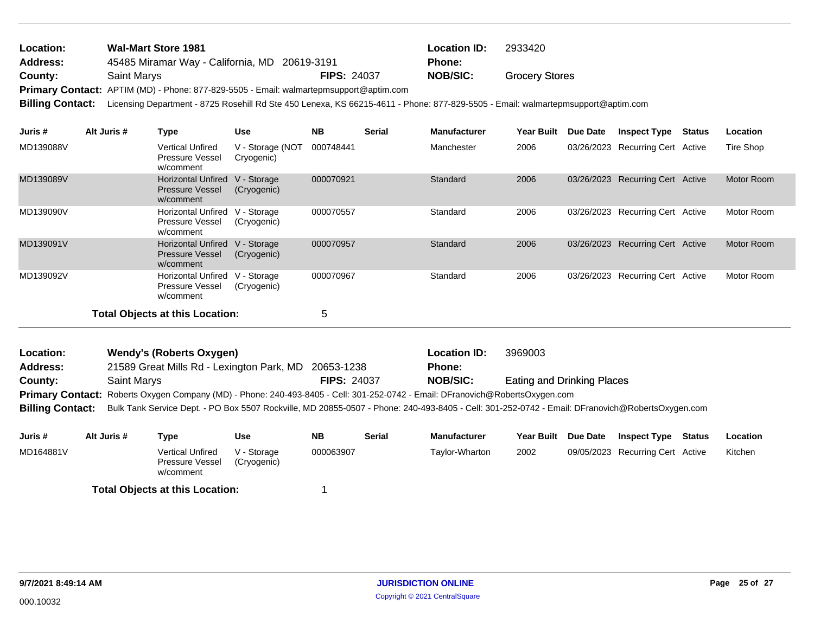| <b>Location:</b> | <b>Wal-Mart Store 1981</b>                                                             | <b>Location ID:</b> | 2933420  |                       |  |
|------------------|----------------------------------------------------------------------------------------|---------------------|----------|-----------------------|--|
| <b>Address:</b>  | 45485 Miramar Way - California, MD 20619-3191                                          | <b>Phone:</b>       |          |                       |  |
| County:          | Saint Marys                                                                            | <b>FIPS: 24037</b>  | NOB/SIC: | <b>Grocery Stores</b> |  |
|                  | Primary Contact: APTIM (MD) - Phone: 877-829-5505 - Email: walmartepmsupport@aptim.com |                     |          |                       |  |
|                  |                                                                                        |                     |          |                       |  |

**Billing Contact:** Licensing Department - 8725 Rosehill Rd Ste 450 Lenexa, KS 66215-4611 - Phone: 877-829-5505 - Email: walmartepmsupport@aptim.com

| Juris #   | Alt Juris # | Type                                                             | <b>Use</b>                     | <b>NB</b> | <b>Serial</b> | <b>Manufacturer</b> | <b>Year Built</b> | <b>Due Date</b> | <b>Inspect Type</b>              | Status | Location          |
|-----------|-------------|------------------------------------------------------------------|--------------------------------|-----------|---------------|---------------------|-------------------|-----------------|----------------------------------|--------|-------------------|
| MD139088V |             | <b>Vertical Unfired</b><br>Pressure Vessel<br>w/comment          | V - Storage (NOT<br>Cryogenic) | 000748441 |               | Manchester          | 2006              |                 | 03/26/2023 Recurring Cert Active |        | Tire Shop         |
| MD139089V |             | <b>Horizontal Unfired</b><br><b>Pressure Vessel</b><br>w/comment | V - Storage<br>(Cryogenic)     | 000070921 |               | Standard            | 2006              |                 | 03/26/2023 Recurring Cert Active |        | <b>Motor Room</b> |
| MD139090V |             | <b>Horizontal Unfired</b><br><b>Pressure Vessel</b><br>w/comment | V - Storage<br>(Cryogenic)     | 000070557 |               | Standard            | 2006              |                 | 03/26/2023 Recurring Cert Active |        | Motor Room        |
| MD139091V |             | <b>Horizontal Unfired</b><br><b>Pressure Vessel</b><br>w/comment | V - Storage<br>(Cryogenic)     | 000070957 |               | Standard            | 2006              |                 | 03/26/2023 Recurring Cert Active |        | Motor Room        |
| MD139092V |             | <b>Horizontal Unfired</b><br><b>Pressure Vessel</b><br>w/comment | V - Storage<br>(Cryogenic)     | 000070967 |               | Standard            | 2006              |                 | 03/26/2023 Recurring Cert Active |        | Motor Room        |
|           |             | <b>Total Objects at this Location:</b>                           |                                | 5         |               |                     |                   |                 |                                  |        |                   |

| <b>Location:</b>        | Wendy's (Roberts Oxygen)                                                                                                      |                    | <b>Location ID:</b> | 3969003                                                                                                                                         |
|-------------------------|-------------------------------------------------------------------------------------------------------------------------------|--------------------|---------------------|-------------------------------------------------------------------------------------------------------------------------------------------------|
| <b>Address:</b>         | 21589 Great Mills Rd - Lexington Park, MD 20653-1238                                                                          |                    | <b>Phone:</b>       |                                                                                                                                                 |
| County:                 | <b>Saint Marys</b>                                                                                                            | <b>FIPS: 24037</b> | <b>NOB/SIC:</b>     | <b>Eating and Drinking Places</b>                                                                                                               |
|                         | Primary Contact: Roberts Oxygen Company (MD) - Phone: 240-493-8405 - Cell: 301-252-0742 - Email: DFranovich@RobertsOxygen.com |                    |                     |                                                                                                                                                 |
| <b>Billing Contact:</b> |                                                                                                                               |                    |                     | Bulk Tank Service Dept. - PO Box 5507 Rockville, MD 20855-0507 - Phone: 240-493-8405 - Cell: 301-252-0742 - Email: DFranovich@RobertsOxygen.com |

| Juris #   | Alt Juris # | Type                                                    | Use                        | NΒ        | <b>Serial</b> | Manufacturer   | Year Built Due Date | <b>Inspect Type</b>              | Status | Location |
|-----------|-------------|---------------------------------------------------------|----------------------------|-----------|---------------|----------------|---------------------|----------------------------------|--------|----------|
| MD164881V |             | <b>Vertical Unfired</b><br>Pressure Vessel<br>w/comment | V - Storage<br>(Cryogenic) | 000063907 |               | Taylor-Wharton | 2002                | 09/05/2023 Recurring Cert Active |        | Kitchen  |
|           |             | <b>Total Objects at this Location:</b>                  |                            |           |               |                |                     |                                  |        |          |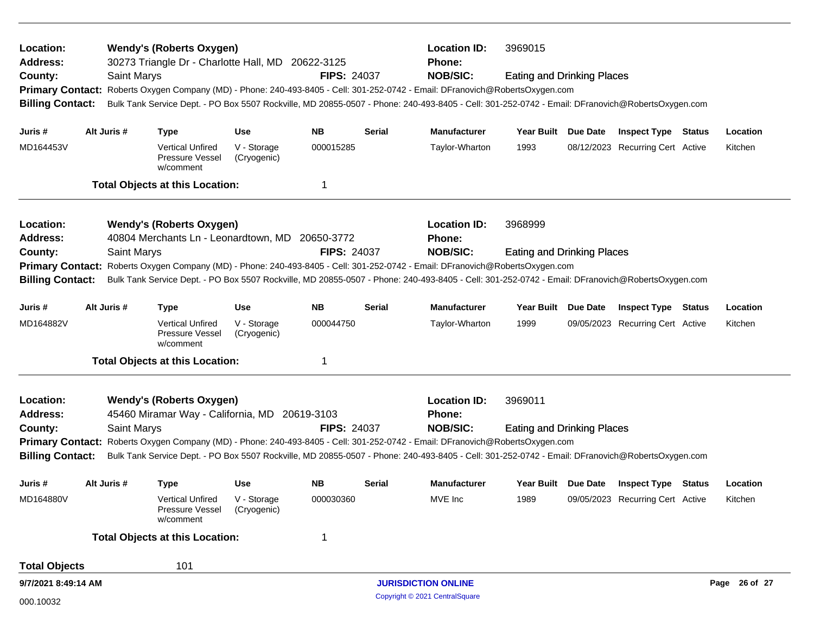| Location:<br><b>Address:</b>                                                                                                                                                                                                                                                                                                                                                                                                  |  |             | <b>Wendy's (Roberts Oxygen)</b><br>30273 Triangle Dr - Charlotte Hall, MD 20622-3125 |                            |                    | <b>Location ID:</b><br><b>Phone:</b> | 3969015                                                                                                                                         |                                   |  |                                         |  |               |
|-------------------------------------------------------------------------------------------------------------------------------------------------------------------------------------------------------------------------------------------------------------------------------------------------------------------------------------------------------------------------------------------------------------------------------|--|-------------|--------------------------------------------------------------------------------------|----------------------------|--------------------|--------------------------------------|-------------------------------------------------------------------------------------------------------------------------------------------------|-----------------------------------|--|-----------------------------------------|--|---------------|
| <b>NOB/SIC:</b><br>Saint Marys<br><b>FIPS: 24037</b><br>County:<br><b>Eating and Drinking Places</b><br><b>Primary Contact:</b><br>Roberts Oxygen Company (MD) - Phone: 240-493-8405 - Cell: 301-252-0742 - Email: DFranovich@RobertsOxygen.com<br>Bulk Tank Service Dept. - PO Box 5507 Rockville, MD 20855-0507 - Phone: 240-493-8405 - Cell: 301-252-0742 - Email: DFranovich@RobertsOxygen.com<br><b>Billing Contact:</b> |  |             |                                                                                      |                            |                    |                                      |                                                                                                                                                 |                                   |  |                                         |  |               |
| Juris #                                                                                                                                                                                                                                                                                                                                                                                                                       |  | Alt Juris # | <b>Type</b>                                                                          | Use                        | ΝB                 | Serial                               | <b>Manufacturer</b>                                                                                                                             | Year Built Due Date               |  | <b>Inspect Type Status</b>              |  | Location      |
| MD164453V                                                                                                                                                                                                                                                                                                                                                                                                                     |  |             | <b>Vertical Unfired</b><br>Pressure Vessel<br>w/comment                              | V - Storage<br>(Cryogenic) | 000015285          |                                      | Taylor-Wharton                                                                                                                                  | 1993                              |  | 08/12/2023 Recurring Cert Active        |  | Kitchen       |
|                                                                                                                                                                                                                                                                                                                                                                                                                               |  |             | <b>Total Objects at this Location:</b>                                               |                            | 1                  |                                      |                                                                                                                                                 |                                   |  |                                         |  |               |
| Location:<br>Address:                                                                                                                                                                                                                                                                                                                                                                                                         |  |             | <b>Wendy's (Roberts Oxygen)</b><br>40804 Merchants Ln - Leonardtown, MD 20650-3772   |                            |                    |                                      | <b>Location ID:</b><br>Phone:                                                                                                                   | 3968999                           |  |                                         |  |               |
| County:                                                                                                                                                                                                                                                                                                                                                                                                                       |  | Saint Marys |                                                                                      |                            | <b>FIPS: 24037</b> |                                      | <b>NOB/SIC:</b>                                                                                                                                 | <b>Eating and Drinking Places</b> |  |                                         |  |               |
| <b>Primary Contact:</b>                                                                                                                                                                                                                                                                                                                                                                                                       |  |             |                                                                                      |                            |                    |                                      | Roberts Oxygen Company (MD) - Phone: 240-493-8405 - Cell: 301-252-0742 - Email: DFranovich@RobertsOxygen.com                                    |                                   |  |                                         |  |               |
| <b>Billing Contact:</b>                                                                                                                                                                                                                                                                                                                                                                                                       |  |             |                                                                                      |                            |                    |                                      | Bulk Tank Service Dept. - PO Box 5507 Rockville, MD 20855-0507 - Phone: 240-493-8405 - Cell: 301-252-0742 - Email: DFranovich@RobertsOxygen.com |                                   |  |                                         |  |               |
| Juris #                                                                                                                                                                                                                                                                                                                                                                                                                       |  | Alt Juris # | <b>Type</b>                                                                          | <b>Use</b>                 | <b>NB</b>          | Serial                               | <b>Manufacturer</b>                                                                                                                             | Year Built Due Date               |  | <b>Inspect Type Status</b>              |  | Location      |
| MD164882V                                                                                                                                                                                                                                                                                                                                                                                                                     |  |             | <b>Vertical Unfired</b><br>Pressure Vessel<br>w/comment                              | V - Storage<br>(Cryogenic) | 000044750          |                                      | Taylor-Wharton                                                                                                                                  | 1999                              |  | 09/05/2023 Recurring Cert Active        |  | Kitchen       |
|                                                                                                                                                                                                                                                                                                                                                                                                                               |  |             | <b>Total Objects at this Location:</b>                                               |                            | 1                  |                                      |                                                                                                                                                 |                                   |  |                                         |  |               |
| Location:<br><b>Address:</b>                                                                                                                                                                                                                                                                                                                                                                                                  |  |             | <b>Wendy's (Roberts Oxygen)</b><br>45460 Miramar Way - California, MD 20619-3103     |                            |                    |                                      | <b>Location ID:</b><br>Phone:                                                                                                                   | 3969011                           |  |                                         |  |               |
| County:                                                                                                                                                                                                                                                                                                                                                                                                                       |  | Saint Marys |                                                                                      |                            | <b>FIPS: 24037</b> |                                      | <b>NOB/SIC:</b>                                                                                                                                 | <b>Eating and Drinking Places</b> |  |                                         |  |               |
|                                                                                                                                                                                                                                                                                                                                                                                                                               |  |             |                                                                                      |                            |                    |                                      | Primary Contact: Roberts Oxygen Company (MD) - Phone: 240-493-8405 - Cell: 301-252-0742 - Email: DFranovich@RobertsOxygen.com                   |                                   |  |                                         |  |               |
| <b>Billing Contact:</b>                                                                                                                                                                                                                                                                                                                                                                                                       |  |             |                                                                                      |                            |                    |                                      | Bulk Tank Service Dept. - PO Box 5507 Rockville, MD 20855-0507 - Phone: 240-493-8405 - Cell: 301-252-0742 - Email: DFranovich@RobertsOxygen.com |                                   |  |                                         |  |               |
| Juris #                                                                                                                                                                                                                                                                                                                                                                                                                       |  | Alt Juris # | <b>Type</b>                                                                          | <b>Use</b>                 | NB.                | Serial                               | <b>Manufacturer</b>                                                                                                                             |                                   |  | Year Built Due Date Inspect Type Status |  | Location      |
| MD164880V                                                                                                                                                                                                                                                                                                                                                                                                                     |  |             | <b>Vertical Unfired</b><br><b>Pressure Vessel</b><br>w/comment                       | V - Storage<br>(Cryogenic) | 000030360          |                                      | MVE Inc                                                                                                                                         | 1989                              |  | 09/05/2023 Recurring Cert Active        |  | Kitchen       |
|                                                                                                                                                                                                                                                                                                                                                                                                                               |  |             | <b>Total Objects at this Location:</b>                                               |                            | 1                  |                                      |                                                                                                                                                 |                                   |  |                                         |  |               |
| <b>Total Objects</b>                                                                                                                                                                                                                                                                                                                                                                                                          |  |             | 101                                                                                  |                            |                    |                                      |                                                                                                                                                 |                                   |  |                                         |  |               |
| 9/7/2021 8:49:14 AM                                                                                                                                                                                                                                                                                                                                                                                                           |  |             |                                                                                      |                            |                    |                                      | <b>JURISDICTION ONLINE</b>                                                                                                                      |                                   |  |                                         |  | Page 26 of 27 |
| 000.10032                                                                                                                                                                                                                                                                                                                                                                                                                     |  |             |                                                                                      |                            |                    |                                      | Copyright © 2021 CentralSquare                                                                                                                  |                                   |  |                                         |  |               |